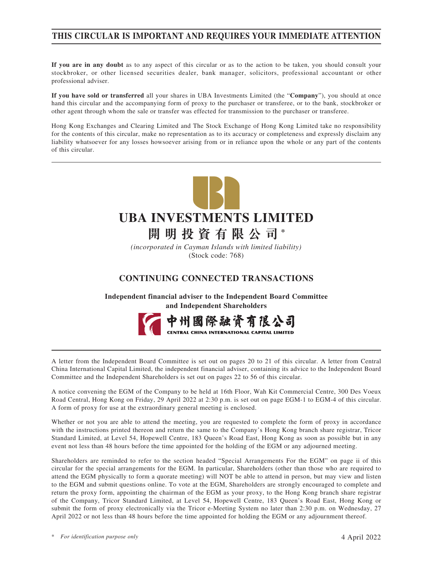# **THIS CIRCULAR IS IMPORTANT AND REQUIRES YOUR IMMEDIATE ATTENTION**

**If you are in any doubt** as to any aspect of this circular or as to the action to be taken, you should consult your stockbroker, or other licensed securities dealer, bank manager, solicitors, professional accountant or other professional adviser.

**If you have sold or transferred** all your shares in UBA Investments Limited (the "**Company**"), you should at once hand this circular and the accompanying form of proxy to the purchaser or transferee, or to the bank, stockbroker or other agent through whom the sale or transfer was effected for transmission to the purchaser or transferee.

Hong Kong Exchanges and Clearing Limited and The Stock Exchange of Hong Kong Limited take no responsibility for the contents of this circular, make no representation as to its accuracy or completeness and expressly disclaim any liability whatsoever for any losses howsoever arising from or in reliance upon the whole or any part of the contents of this circular.



*(incorporated in Cayman Islands with limited liability)* (Stock code: 768)

# **CONTINUING CONNECTED TRANSACTIONS**

**Independent financial adviser to the Independent Board Committee and Independent Shareholders**



A letter from the Independent Board Committee is set out on pages 20 to 21 of this circular. A letter from Central China International Capital Limited, the independent financial adviser, containing its advice to the Independent Board Committee and the Independent Shareholders is set out on pages 22 to 56 of this circular.

A notice convening the EGM of the Company to be held at 16th Floor, Wah Kit Commercial Centre, 300 Des Voeux Road Central, Hong Kong on Friday, 29 April 2022 at 2:30 p.m. is set out on page EGM-1 to EGM-4 of this circular. A form of proxy for use at the extraordinary general meeting is enclosed.

Whether or not you are able to attend the meeting, you are requested to complete the form of proxy in accordance with the instructions printed thereon and return the same to the Company's Hong Kong branch share registrar, Tricor Standard Limited, at Level 54, Hopewell Centre, 183 Queen's Road East, Hong Kong as soon as possible but in any event not less than 48 hours before the time appointed for the holding of the EGM or any adjourned meeting.

Shareholders are reminded to refer to the section headed "Special Arrangements For the EGM" on page ii of this circular for the special arrangements for the EGM. In particular, Shareholders (other than those who are required to attend the EGM physically to form a quorate meeting) will NOT be able to attend in person, but may view and listen to the EGM and submit questions online. To vote at the EGM, Shareholders are strongly encouraged to complete and return the proxy form, appointing the chairman of the EGM as your proxy, to the Hong Kong branch share registrar of the Company, Tricor Standard Limited, at Level 54, Hopewell Centre, 183 Queen's Road East, Hong Kong or submit the form of proxy electronically via the Tricor e-Meeting System no later than 2:30 p.m. on Wednesday, 27 April 2022 or not less than 48 hours before the time appointed for holding the EGM or any adjournment thereof.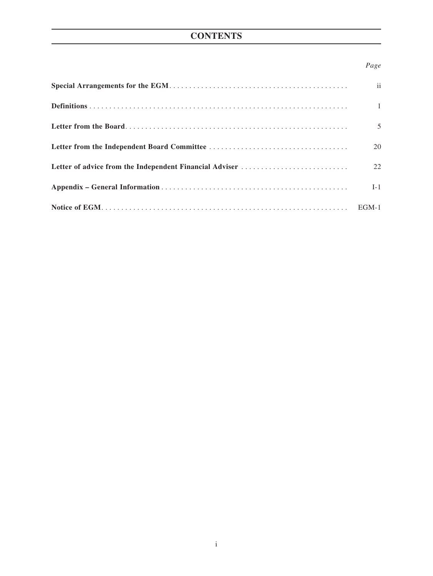# **CONTENTS**

# *Page*

| ii             |
|----------------|
| $\overline{1}$ |
| 5              |
| 20             |
| 22             |
| $I-1$          |
|                |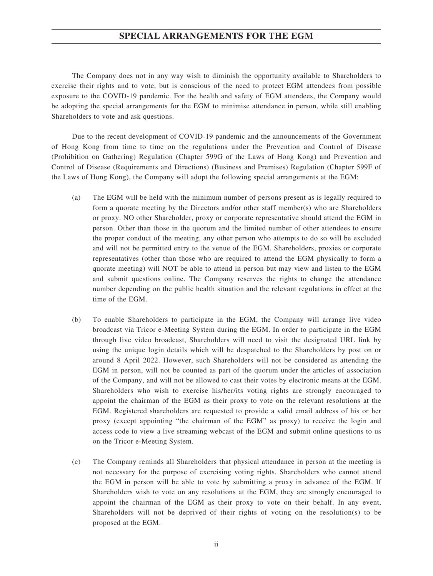### **SPECIAL ARRANGEMENTS FOR THE EGM**

The Company does not in any way wish to diminish the opportunity available to Shareholders to exercise their rights and to vote, but is conscious of the need to protect EGM attendees from possible exposure to the COVID-19 pandemic. For the health and safety of EGM attendees, the Company would be adopting the special arrangements for the EGM to minimise attendance in person, while still enabling Shareholders to vote and ask questions.

Due to the recent development of COVID-19 pandemic and the announcements of the Government of Hong Kong from time to time on the regulations under the Prevention and Control of Disease (Prohibition on Gathering) Regulation (Chapter 599G of the Laws of Hong Kong) and Prevention and Control of Disease (Requirements and Directions) (Business and Premises) Regulation (Chapter 599F of the Laws of Hong Kong), the Company will adopt the following special arrangements at the EGM:

- (a) The EGM will be held with the minimum number of persons present as is legally required to form a quorate meeting by the Directors and/or other staff member(s) who are Shareholders or proxy. NO other Shareholder, proxy or corporate representative should attend the EGM in person. Other than those in the quorum and the limited number of other attendees to ensure the proper conduct of the meeting, any other person who attempts to do so will be excluded and will not be permitted entry to the venue of the EGM. Shareholders, proxies or corporate representatives (other than those who are required to attend the EGM physically to form a quorate meeting) will NOT be able to attend in person but may view and listen to the EGM and submit questions online. The Company reserves the rights to change the attendance number depending on the public health situation and the relevant regulations in effect at the time of the EGM.
- (b) To enable Shareholders to participate in the EGM, the Company will arrange live video broadcast via Tricor e-Meeting System during the EGM. In order to participate in the EGM through live video broadcast, Shareholders will need to visit the designated URL link by using the unique login details which will be despatched to the Shareholders by post on or around 8 April 2022. However, such Shareholders will not be considered as attending the EGM in person, will not be counted as part of the quorum under the articles of association of the Company, and will not be allowed to cast their votes by electronic means at the EGM. Shareholders who wish to exercise his/her/its voting rights are strongly encouraged to appoint the chairman of the EGM as their proxy to vote on the relevant resolutions at the EGM. Registered shareholders are requested to provide a valid email address of his or her proxy (except appointing "the chairman of the EGM" as proxy) to receive the login and access code to view a live streaming webcast of the EGM and submit online questions to us on the Tricor e-Meeting System.
- (c) The Company reminds all Shareholders that physical attendance in person at the meeting is not necessary for the purpose of exercising voting rights. Shareholders who cannot attend the EGM in person will be able to vote by submitting a proxy in advance of the EGM. If Shareholders wish to vote on any resolutions at the EGM, they are strongly encouraged to appoint the chairman of the EGM as their proxy to vote on their behalf. In any event, Shareholders will not be deprived of their rights of voting on the resolution(s) to be proposed at the EGM.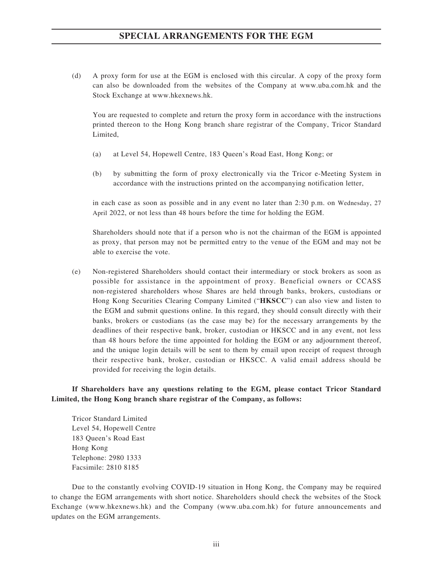# **SPECIAL ARRANGEMENTS FOR THE EGM**

(d) A proxy form for use at the EGM is enclosed with this circular. A copy of the proxy form can also be downloaded from the websites of the Company at www.uba.com.hk and the Stock Exchange at www.hkexnews.hk.

You are requested to complete and return the proxy form in accordance with the instructions printed thereon to the Hong Kong branch share registrar of the Company, Tricor Standard Limited,

- (a) at Level 54, Hopewell Centre, 183 Queen's Road East, Hong Kong; or
- (b) by submitting the form of proxy electronically via the Tricor e-Meeting System in accordance with the instructions printed on the accompanying notification letter,

in each case as soon as possible and in any event no later than 2:30 p.m. on Wednesday, 27 April 2022, or not less than 48 hours before the time for holding the EGM.

Shareholders should note that if a person who is not the chairman of the EGM is appointed as proxy, that person may not be permitted entry to the venue of the EGM and may not be able to exercise the vote.

(e) Non-registered Shareholders should contact their intermediary or stock brokers as soon as possible for assistance in the appointment of proxy. Beneficial owners or CCASS non-registered shareholders whose Shares are held through banks, brokers, custodians or Hong Kong Securities Clearing Company Limited ("**HKSCC**") can also view and listen to the EGM and submit questions online. In this regard, they should consult directly with their banks, brokers or custodians (as the case may be) for the necessary arrangements by the deadlines of their respective bank, broker, custodian or HKSCC and in any event, not less than 48 hours before the time appointed for holding the EGM or any adjournment thereof, and the unique login details will be sent to them by email upon receipt of request through their respective bank, broker, custodian or HKSCC. A valid email address should be provided for receiving the login details.

### **If Shareholders have any questions relating to the EGM, please contact Tricor Standard Limited, the Hong Kong branch share registrar of the Company, as follows:**

Tricor Standard Limited Level 54, Hopewell Centre 183 Queen's Road East Hong Kong Telephone: 2980 1333 Facsimile: 2810 8185

Due to the constantly evolving COVID-19 situation in Hong Kong, the Company may be required to change the EGM arrangements with short notice. Shareholders should check the websites of the Stock Exchange (www.hkexnews.hk) and the Company (www.uba.com.hk) for future announcements and updates on the EGM arrangements.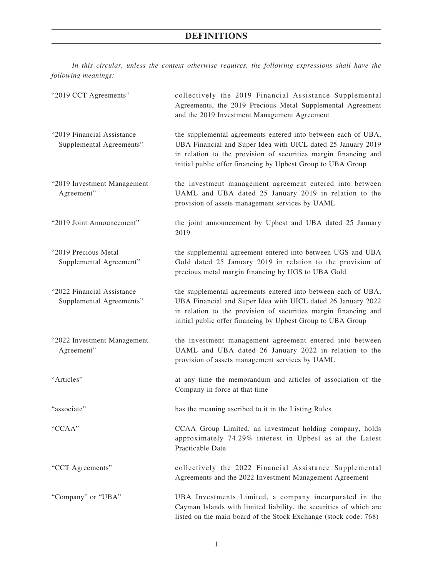*In this circular, unless the context otherwise requires, the following expressions shall have the following meanings:*

| "2019 CCT Agreements"                                  | collectively the 2019 Financial Assistance Supplemental<br>Agreements, the 2019 Precious Metal Supplemental Agreement<br>and the 2019 Investment Management Agreement                                                                                           |
|--------------------------------------------------------|-----------------------------------------------------------------------------------------------------------------------------------------------------------------------------------------------------------------------------------------------------------------|
| "2019 Financial Assistance<br>Supplemental Agreements" | the supplemental agreements entered into between each of UBA,<br>UBA Financial and Super Idea with UICL dated 25 January 2019<br>in relation to the provision of securities margin financing and<br>initial public offer financing by Upbest Group to UBA Group |
| "2019 Investment Management<br>Agreement"              | the investment management agreement entered into between<br>UAML and UBA dated 25 January 2019 in relation to the<br>provision of assets management services by UAML                                                                                            |
| "2019 Joint Announcement"                              | the joint announcement by Upbest and UBA dated 25 January<br>2019                                                                                                                                                                                               |
| "2019 Precious Metal<br>Supplemental Agreement"        | the supplemental agreement entered into between UGS and UBA<br>Gold dated 25 January 2019 in relation to the provision of<br>precious metal margin financing by UGS to UBA Gold                                                                                 |
| "2022 Financial Assistance<br>Supplemental Agreements" | the supplemental agreements entered into between each of UBA,<br>UBA Financial and Super Idea with UICL dated 26 January 2022<br>in relation to the provision of securities margin financing and<br>initial public offer financing by Upbest Group to UBA Group |
| "2022 Investment Management<br>Agreement"              | the investment management agreement entered into between<br>UAML and UBA dated 26 January 2022 in relation to the<br>provision of assets management services by UAML                                                                                            |
| "Articles"                                             | at any time the memorandum and articles of association of the<br>Company in force at that time                                                                                                                                                                  |
| "associate"                                            | has the meaning ascribed to it in the Listing Rules                                                                                                                                                                                                             |
| "CCAA"                                                 | CCAA Group Limited, an investment holding company, holds<br>approximately 74.29% interest in Upbest as at the Latest<br>Practicable Date                                                                                                                        |
| "CCT Agreements"                                       | collectively the 2022 Financial Assistance Supplemental<br>Agreements and the 2022 Investment Management Agreement                                                                                                                                              |
| "Company" or "UBA"                                     | UBA Investments Limited, a company incorporated in the<br>Cayman Islands with limited liability, the securities of which are<br>listed on the main board of the Stock Exchange (stock code: 768)                                                                |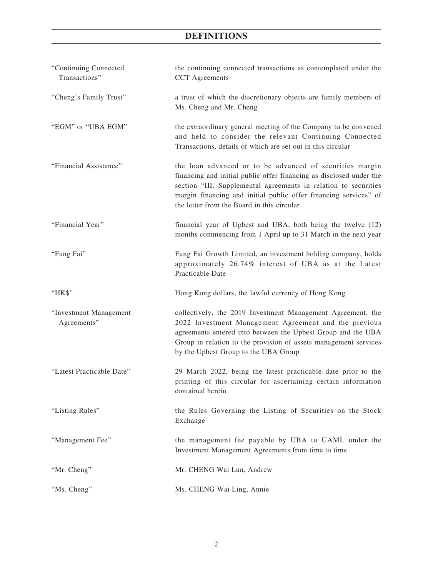| "Continuing Connected<br>Transactions" | the continuing connected transactions as contemplated under the<br><b>CCT</b> Agreements                                                                                                                                                                                                                             |
|----------------------------------------|----------------------------------------------------------------------------------------------------------------------------------------------------------------------------------------------------------------------------------------------------------------------------------------------------------------------|
| "Cheng's Family Trust"                 | a trust of which the discretionary objects are family members of<br>Ms. Cheng and Mr. Cheng                                                                                                                                                                                                                          |
| "EGM" or "UBA EGM"                     | the extraordinary general meeting of the Company to be convened<br>and held to consider the relevant Continuing Connected<br>Transactions, details of which are set out in this circular                                                                                                                             |
| "Financial Assistance"                 | the loan advanced or to be advanced of securities margin<br>financing and initial public offer financing as disclosed under the<br>section "III. Supplemental agreements in relation to securities<br>margin financing and initial public offer financing services" of<br>the letter from the Board in this circular |
| "Financial Year"                       | financial year of Upbest and UBA, both being the twelve (12)<br>months commencing from 1 April up to 31 March in the next year                                                                                                                                                                                       |
| "Fung Fai"                             | Fung Fai Growth Limited, an investment holding company, holds<br>approximately 26.74% interest of UBA as at the Latest<br>Practicable Date                                                                                                                                                                           |
| "HK\$"                                 | Hong Kong dollars, the lawful currency of Hong Kong                                                                                                                                                                                                                                                                  |
| "Investment Management<br>Agreements"  | collectively, the 2019 Investment Management Agreement, the<br>2022 Investment Management Agreement and the previous<br>agreements entered into between the Upbest Group and the UBA<br>Group in relation to the provision of assets management services<br>by the Upbest Group to the UBA Group                     |
| "Latest Practicable Date"              | 29 March 2022, being the latest practicable date prior to the<br>printing of this circular for ascertaining certain information<br>contained herein                                                                                                                                                                  |
| "Listing Rules"                        | the Rules Governing the Listing of Securities on the Stock<br>Exchange                                                                                                                                                                                                                                               |
| "Management Fee"                       | the management fee payable by UBA to UAML under the<br>Investment Management Agreements from time to time                                                                                                                                                                                                            |
| "Mr. Cheng"                            | Mr. CHENG Wai Lun, Andrew                                                                                                                                                                                                                                                                                            |
| "Ms. Cheng"                            | Ms. CHENG Wai Ling, Annie                                                                                                                                                                                                                                                                                            |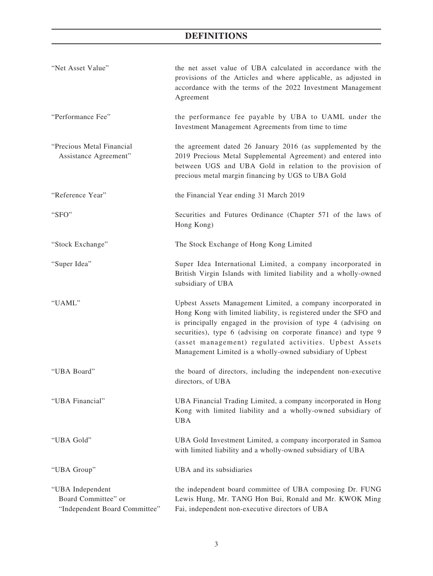| "Net Asset Value"                                                        | the net asset value of UBA calculated in accordance with the<br>provisions of the Articles and where applicable, as adjusted in<br>accordance with the terms of the 2022 Investment Management<br>Agreement                                                                                                                                                                                 |
|--------------------------------------------------------------------------|---------------------------------------------------------------------------------------------------------------------------------------------------------------------------------------------------------------------------------------------------------------------------------------------------------------------------------------------------------------------------------------------|
| "Performance Fee"                                                        | the performance fee payable by UBA to UAML under the<br>Investment Management Agreements from time to time                                                                                                                                                                                                                                                                                  |
| "Precious Metal Financial<br>Assistance Agreement"                       | the agreement dated 26 January 2016 (as supplemented by the<br>2019 Precious Metal Supplemental Agreement) and entered into<br>between UGS and UBA Gold in relation to the provision of<br>precious metal margin financing by UGS to UBA Gold                                                                                                                                               |
| "Reference Year"                                                         | the Financial Year ending 31 March 2019                                                                                                                                                                                                                                                                                                                                                     |
| "SFO"                                                                    | Securities and Futures Ordinance (Chapter 571 of the laws of<br>Hong Kong)                                                                                                                                                                                                                                                                                                                  |
| "Stock Exchange"                                                         | The Stock Exchange of Hong Kong Limited                                                                                                                                                                                                                                                                                                                                                     |
| "Super Idea"                                                             | Super Idea International Limited, a company incorporated in<br>British Virgin Islands with limited liability and a wholly-owned<br>subsidiary of UBA                                                                                                                                                                                                                                        |
| "UAML"                                                                   | Upbest Assets Management Limited, a company incorporated in<br>Hong Kong with limited liability, is registered under the SFO and<br>is principally engaged in the provision of type 4 (advising on<br>securities), type 6 (advising on corporate finance) and type 9<br>(asset management) regulated activities. Upbest Assets<br>Management Limited is a wholly-owned subsidiary of Upbest |
| "UBA Board"                                                              | the board of directors, including the independent non-executive<br>directors, of UBA                                                                                                                                                                                                                                                                                                        |
| "UBA Financial"                                                          | UBA Financial Trading Limited, a company incorporated in Hong<br>Kong with limited liability and a wholly-owned subsidiary of<br><b>UBA</b>                                                                                                                                                                                                                                                 |
| "UBA Gold"                                                               | UBA Gold Investment Limited, a company incorporated in Samoa<br>with limited liability and a wholly-owned subsidiary of UBA                                                                                                                                                                                                                                                                 |
| "UBA Group"                                                              | UBA and its subsidiaries                                                                                                                                                                                                                                                                                                                                                                    |
| "UBA Independent<br>Board Committee" or<br>"Independent Board Committee" | the independent board committee of UBA composing Dr. FUNG<br>Lewis Hung, Mr. TANG Hon Bui, Ronald and Mr. KWOK Ming<br>Fai, independent non-executive directors of UBA                                                                                                                                                                                                                      |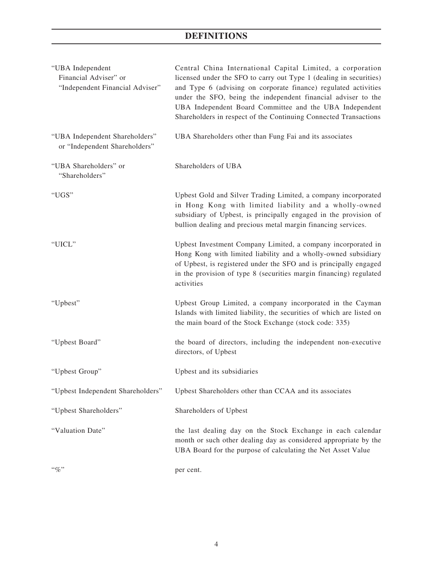| "UBA Independent<br>Financial Adviser" or<br>"Independent Financial Adviser" | Central China International Capital Limited, a corporation<br>licensed under the SFO to carry out Type 1 (dealing in securities)<br>and Type 6 (advising on corporate finance) regulated activities<br>under the SFO, being the independent financial adviser to the<br>UBA Independent Board Committee and the UBA Independent<br>Shareholders in respect of the Continuing Connected Transactions |
|------------------------------------------------------------------------------|-----------------------------------------------------------------------------------------------------------------------------------------------------------------------------------------------------------------------------------------------------------------------------------------------------------------------------------------------------------------------------------------------------|
| "UBA Independent Shareholders"<br>or "Independent Shareholders"              | UBA Shareholders other than Fung Fai and its associates                                                                                                                                                                                                                                                                                                                                             |
| "UBA Shareholders" or<br>"Shareholders"                                      | Shareholders of UBA                                                                                                                                                                                                                                                                                                                                                                                 |
| "UGS"                                                                        | Upbest Gold and Silver Trading Limited, a company incorporated<br>in Hong Kong with limited liability and a wholly-owned<br>subsidiary of Upbest, is principally engaged in the provision of<br>bullion dealing and precious metal margin financing services.                                                                                                                                       |
| "UICL"                                                                       | Upbest Investment Company Limited, a company incorporated in<br>Hong Kong with limited liability and a wholly-owned subsidiary<br>of Upbest, is registered under the SFO and is principally engaged<br>in the provision of type 8 (securities margin financing) regulated<br>activities                                                                                                             |
| "Upbest"                                                                     | Upbest Group Limited, a company incorporated in the Cayman<br>Islands with limited liability, the securities of which are listed on<br>the main board of the Stock Exchange (stock code: 335)                                                                                                                                                                                                       |
| "Upbest Board"                                                               | the board of directors, including the independent non-executive<br>directors, of Upbest                                                                                                                                                                                                                                                                                                             |
| "Upbest Group"                                                               | Upbest and its subsidiaries                                                                                                                                                                                                                                                                                                                                                                         |
| "Upbest Independent Shareholders"                                            | Upbest Shareholders other than CCAA and its associates                                                                                                                                                                                                                                                                                                                                              |
| "Upbest Shareholders"                                                        | Shareholders of Upbest                                                                                                                                                                                                                                                                                                                                                                              |
| "Valuation Date"                                                             | the last dealing day on the Stock Exchange in each calendar<br>month or such other dealing day as considered appropriate by the<br>UBA Board for the purpose of calculating the Net Asset Value                                                                                                                                                                                                     |
| $``\%"$                                                                      | per cent.                                                                                                                                                                                                                                                                                                                                                                                           |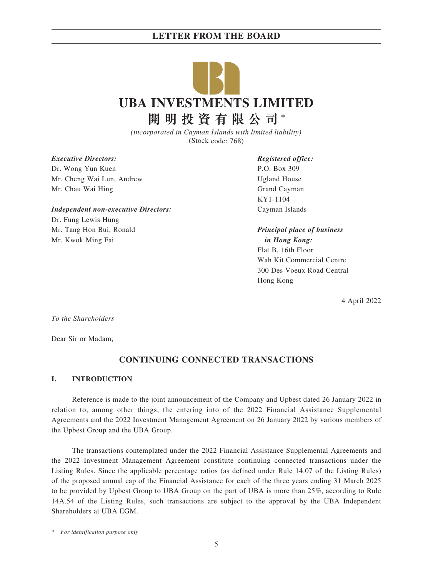

*(incorporated in Cayman Islands with limited liability)* (Stock code: 768)

*Executive Directors:*

Dr. Wong Yun Kuen Mr. Cheng Wai Lun, Andrew Mr. Chau Wai Hing

*Independent non-executive Directors:*

Dr. Fung Lewis Hung Mr. Tang Hon Bui, Ronald Mr. Kwok Ming Fai

*Registered office:* P.O. Box 309 Ugland House Grand Cayman KY1-1104 Cayman Islands

*Principal place of business in Hong Kong:* Flat B, 16th Floor Wah Kit Commercial Centre 300 Des Voeux Road Central Hong Kong

4 April 2022

*To the Shareholders*

Dear Sir or Madam,

# **CONTINUING CONNECTED TRANSACTIONS**

#### **I. INTRODUCTION**

Reference is made to the joint announcement of the Company and Upbest dated 26 January 2022 in relation to, among other things, the entering into of the 2022 Financial Assistance Supplemental Agreements and the 2022 Investment Management Agreement on 26 January 2022 by various members of the Upbest Group and the UBA Group.

The transactions contemplated under the 2022 Financial Assistance Supplemental Agreements and the 2022 Investment Management Agreement constitute continuing connected transactions under the Listing Rules. Since the applicable percentage ratios (as defined under Rule 14.07 of the Listing Rules) of the proposed annual cap of the Financial Assistance for each of the three years ending 31 March 2025 to be provided by Upbest Group to UBA Group on the part of UBA is more than 25%, according to Rule 14A.54 of the Listing Rules, such transactions are subject to the approval by the UBA Independent Shareholders at UBA EGM.

\* *For identification purpose only*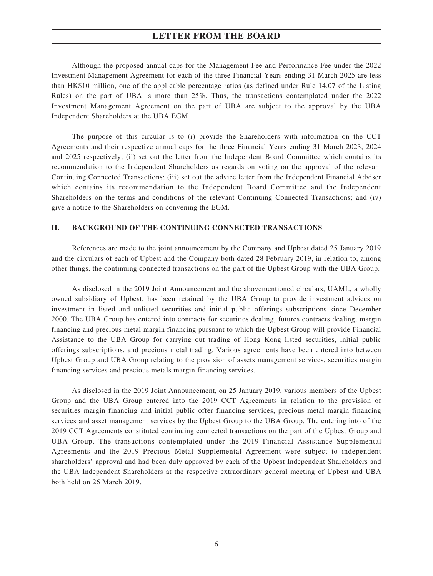Although the proposed annual caps for the Management Fee and Performance Fee under the 2022 Investment Management Agreement for each of the three Financial Years ending 31 March 2025 are less than HK\$10 million, one of the applicable percentage ratios (as defined under Rule 14.07 of the Listing Rules) on the part of UBA is more than 25%. Thus, the transactions contemplated under the 2022 Investment Management Agreement on the part of UBA are subject to the approval by the UBA Independent Shareholders at the UBA EGM.

The purpose of this circular is to (i) provide the Shareholders with information on the CCT Agreements and their respective annual caps for the three Financial Years ending 31 March 2023, 2024 and 2025 respectively; (ii) set out the letter from the Independent Board Committee which contains its recommendation to the Independent Shareholders as regards on voting on the approval of the relevant Continuing Connected Transactions; (iii) set out the advice letter from the Independent Financial Adviser which contains its recommendation to the Independent Board Committee and the Independent Shareholders on the terms and conditions of the relevant Continuing Connected Transactions; and (iv) give a notice to the Shareholders on convening the EGM.

#### **II. BACKGROUND OF THE CONTINUING CONNECTED TRANSACTIONS**

References are made to the joint announcement by the Company and Upbest dated 25 January 2019 and the circulars of each of Upbest and the Company both dated 28 February 2019, in relation to, among other things, the continuing connected transactions on the part of the Upbest Group with the UBA Group.

As disclosed in the 2019 Joint Announcement and the abovementioned circulars, UAML, a wholly owned subsidiary of Upbest, has been retained by the UBA Group to provide investment advices on investment in listed and unlisted securities and initial public offerings subscriptions since December 2000. The UBA Group has entered into contracts for securities dealing, futures contracts dealing, margin financing and precious metal margin financing pursuant to which the Upbest Group will provide Financial Assistance to the UBA Group for carrying out trading of Hong Kong listed securities, initial public offerings subscriptions, and precious metal trading. Various agreements have been entered into between Upbest Group and UBA Group relating to the provision of assets management services, securities margin financing services and precious metals margin financing services.

As disclosed in the 2019 Joint Announcement, on 25 January 2019, various members of the Upbest Group and the UBA Group entered into the 2019 CCT Agreements in relation to the provision of securities margin financing and initial public offer financing services, precious metal margin financing services and asset management services by the Upbest Group to the UBA Group. The entering into of the 2019 CCT Agreements constituted continuing connected transactions on the part of the Upbest Group and UBA Group. The transactions contemplated under the 2019 Financial Assistance Supplemental Agreements and the 2019 Precious Metal Supplemental Agreement were subject to independent shareholders' approval and had been duly approved by each of the Upbest Independent Shareholders and the UBA Independent Shareholders at the respective extraordinary general meeting of Upbest and UBA both held on 26 March 2019.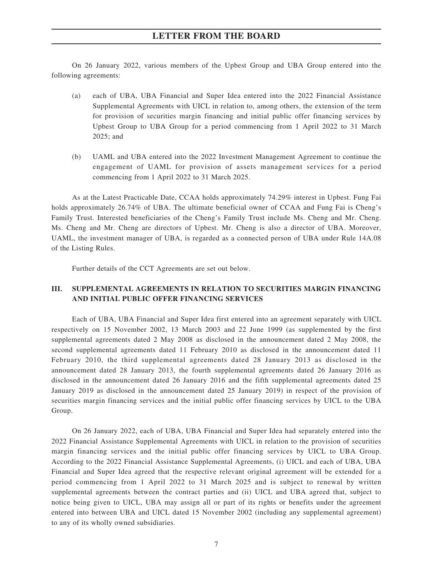On 26 January 2022, various members of the Upbest Group and UBA Group entered into the following agreements:

- (a) each of UBA, UBA Financial and Super Idea entered into the 2022 Financial Assistance Supplemental Agreements with UICL in relation to, among others, the extension of the term for provision of securities margin financing and initial public offer financing services by Upbest Group to UBA Group for a period commencing from 1 April 2022 to 31 March 2025; and
- (b) UAML and UBA entered into the 2022 Investment Management Agreement to continue the engagement of UAML for provision of assets management services for a period commencing from 1 April 2022 to 31 March 2025.

As at the Latest Practicable Date, CCAA holds approximately 74.29% interest in Upbest. Fung Fai holds approximately 26.74% of UBA. The ultimate beneficial owner of CCAA and Fung Fai is Cheng's Family Trust. Interested beneficiaries of the Cheng's Family Trust include Ms. Cheng and Mr. Cheng. Ms. Cheng and Mr. Cheng are directors of Upbest. Mr. Cheng is also a director of UBA. Moreover, UAML, the investment manager of UBA, is regarded as a connected person of UBA under Rule 14A.08 of the Listing Rules.

Further details of the CCT Agreements are set out below.

## **III. SUPPLEMENTAL AGREEMENTS IN RELATION TO SECURITIES MARGIN FINANCING AND INITIAL PUBLIC OFFER FINANCING SERVICES**

Each of UBA, UBA Financial and Super Idea first entered into an agreement separately with UICL respectively on 15 November 2002, 13 March 2003 and 22 June 1999 (as supplemented by the first supplemental agreements dated 2 May 2008 as disclosed in the announcement dated 2 May 2008, the second supplemental agreements dated 11 February 2010 as disclosed in the announcement dated 11 February 2010, the third supplemental agreements dated 28 January 2013 as disclosed in the announcement dated 28 January 2013, the fourth supplemental agreements dated 26 January 2016 as disclosed in the announcement dated 26 January 2016 and the fifth supplemental agreements dated 25 January 2019 as disclosed in the announcement dated 25 January 2019) in respect of the provision of securities margin financing services and the initial public offer financing services by UICL to the UBA Group.

On 26 January 2022, each of UBA, UBA Financial and Super Idea had separately entered into the 2022 Financial Assistance Supplemental Agreements with UICL in relation to the provision of securities margin financing services and the initial public offer financing services by UICL to UBA Group. According to the 2022 Financial Assistance Supplemental Agreements, (i) UICL and each of UBA, UBA Financial and Super Idea agreed that the respective relevant original agreement will be extended for a period commencing from 1 April 2022 to 31 March 2025 and is subject to renewal by written supplemental agreements between the contract parties and (ii) UICL and UBA agreed that, subject to notice being given to UICL, UBA may assign all or part of its rights or benefits under the agreement entered into between UBA and UICL dated 15 November 2002 (including any supplemental agreement) to any of its wholly owned subsidiaries.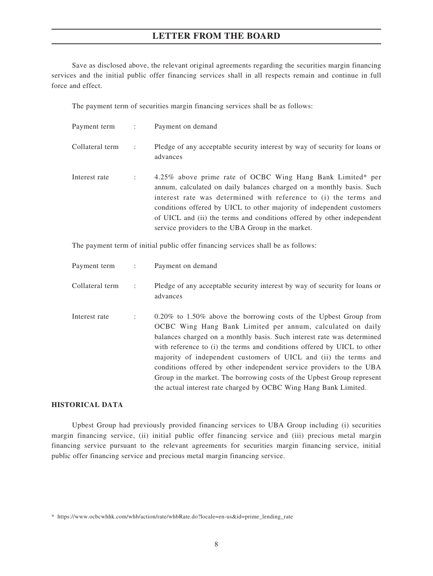Save as disclosed above, the relevant original agreements regarding the securities margin financing services and the initial public offer financing services shall in all respects remain and continue in full force and effect.

The payment term of securities margin financing services shall be as follows:

| Payment term :  |                      | Payment on demand                                                                                                                                                                                                                                                                                                                                                                                              |
|-----------------|----------------------|----------------------------------------------------------------------------------------------------------------------------------------------------------------------------------------------------------------------------------------------------------------------------------------------------------------------------------------------------------------------------------------------------------------|
| Collateral term | $\ddot{\phantom{a}}$ | Pledge of any acceptable security interest by way of security for loans or<br>advances                                                                                                                                                                                                                                                                                                                         |
| Interest rate   |                      | 4.25% above prime rate of OCBC Wing Hang Bank Limited* per<br>annum, calculated on daily balances charged on a monthly basis. Such<br>interest rate was determined with reference to (i) the terms and<br>conditions offered by UICL to other majority of independent customers<br>of UICL and (ii) the terms and conditions offered by other independent<br>service providers to the UBA Group in the market. |

The payment term of initial public offer financing services shall be as follows:

| Payment term :  |                      | Payment on demand                                                                                                                                                                                                                                                                                                                                                                                                                                                                                                                                                                 |
|-----------------|----------------------|-----------------------------------------------------------------------------------------------------------------------------------------------------------------------------------------------------------------------------------------------------------------------------------------------------------------------------------------------------------------------------------------------------------------------------------------------------------------------------------------------------------------------------------------------------------------------------------|
| Collateral term | $\ddot{\phantom{a}}$ | Pledge of any acceptable security interest by way of security for loans or<br>advances                                                                                                                                                                                                                                                                                                                                                                                                                                                                                            |
| Interest rate   | $\ddot{\phantom{a}}$ | $0.20\%$ to 1.50% above the borrowing costs of the Upbest Group from<br>OCBC Wing Hang Bank Limited per annum, calculated on daily<br>balances charged on a monthly basis. Such interest rate was determined<br>with reference to (i) the terms and conditions offered by UICL to other<br>majority of independent customers of UICL and (ii) the terms and<br>conditions offered by other independent service providers to the UBA<br>Group in the market. The borrowing costs of the Upbest Group represent<br>the actual interest rate charged by OCBC Wing Hang Bank Limited. |

#### **HISTORICAL DATA**

Upbest Group had previously provided financing services to UBA Group including (i) securities margin financing service, (ii) initial public offer financing service and (iii) precious metal margin financing service pursuant to the relevant agreements for securities margin financing service, initial public offer financing service and precious metal margin financing service.

<sup>\*</sup> https://www.ocbcwhhk.com/whb/action/rate/whbRate.do?locale=en-us&id=prime\_lending\_rate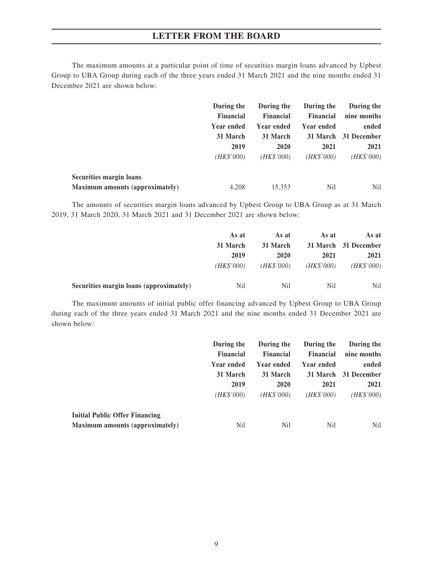The maximum amounts at a particular point of time of securities margin loans advanced by Upbest Group to UBA Group during each of the three years ended 31 March 2021 and the nine months ended 31 December 2021 are shown below:

|                                 | During the                                         | During the                                                | During the                                         | During the                                  |
|---------------------------------|----------------------------------------------------|-----------------------------------------------------------|----------------------------------------------------|---------------------------------------------|
|                                 | <b>Financial</b><br>Year ended<br>31 March<br>2019 | <b>Financial</b><br>Year ended<br>31 March<br><b>2020</b> | <b>Financial</b><br>Year ended<br>31 March<br>2021 | nine months<br>ended<br>31 December<br>2021 |
|                                 |                                                    |                                                           |                                                    |                                             |
|                                 |                                                    |                                                           |                                                    |                                             |
|                                 |                                                    |                                                           |                                                    |                                             |
|                                 | (HK\$'000)                                         | (HK\$'000)                                                | (HK\$'000)                                         | (HK\$'000)                                  |
| <b>Securities margin loans</b>  |                                                    |                                                           |                                                    |                                             |
| Maximum amounts (approximately) | 4.208                                              | 15.353                                                    | Nil                                                | <b>Nil</b>                                  |

The amounts of securities margin loans advanced by Upbest Group to UBA Group as at 31 March 2019, 31 March 2020, 31 March 2021 and 31 December 2021 are shown below:

|                                         | As at<br>31 March | As at      |            | As at      | As at |                      |
|-----------------------------------------|-------------------|------------|------------|------------|-------|----------------------|
|                                         |                   |            |            | 31 March   |       | 31 March 31 December |
|                                         | 2019              | 2020       | 2021       | 2021       |       |                      |
|                                         | (HK\$'000)        | (HK\$'000) | (HK\$'000) | (HK\$'000) |       |                      |
| Securities margin loans (approximately) | N <sub>il</sub>   | Nil        | Nil        | Nil        |       |                      |

The maximum amounts of initial public offer financing advanced by Upbest Group to UBA Group during each of the three years ended 31 March 2021 and the nine months ended 31 December 2021 are shown below:

|                                       | During the       | During the       | During the       | During the           |
|---------------------------------------|------------------|------------------|------------------|----------------------|
|                                       | <b>Financial</b> | <b>Financial</b> | <b>Financial</b> | nine months          |
|                                       | Year ended       | Year ended       | Year ended       | ended                |
|                                       | 31 March         | 31 March         |                  | 31 March 31 December |
|                                       | 2019             | <b>2020</b>      | 2021             | 2021                 |
|                                       | (HK\$'000)       | (HK\$'000)       | (HK\$'000)       | (HK\$'000)           |
| <b>Initial Public Offer Financing</b> |                  |                  |                  |                      |
| Maximum amounts (approximately)       | Nil              | Nil              | Nil              | <b>Nil</b>           |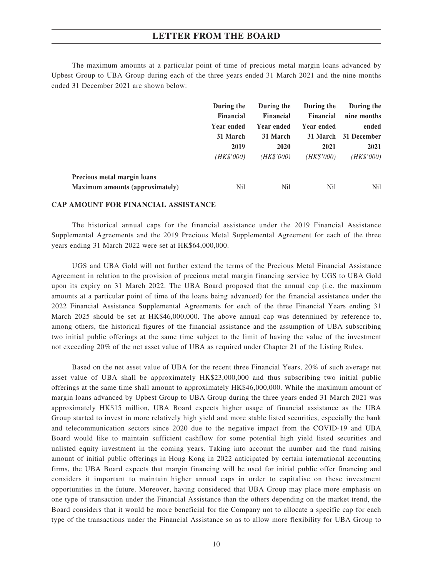The maximum amounts at a particular point of time of precious metal margin loans advanced by Upbest Group to UBA Group during each of the three years ended 31 March 2021 and the nine months ended 31 December 2021 are shown below:

|                                        | During the                                         | During the              | During the       | During the          |       |
|----------------------------------------|----------------------------------------------------|-------------------------|------------------|---------------------|-------|
|                                        | <b>Financial</b><br>Year ended<br>31 March<br>2019 | <b>Financial</b>        | <b>Financial</b> | nine months         |       |
|                                        |                                                    |                         | Year ended       | Year ended          | ended |
|                                        |                                                    | 31 March<br><b>2020</b> | 31 March<br>2021 | 31 December<br>2021 |       |
|                                        |                                                    |                         |                  |                     |       |
|                                        | (HK\$'000)                                         | (HK\$'000)              | (HK\$'000)       | (HK\$'000)          |       |
| Precious metal margin loans            |                                                    |                         |                  |                     |       |
| <b>Maximum amounts (approximately)</b> | Nil                                                | Nil                     | Nil              | N <sub>il</sub>     |       |

#### **CAP AMOUNT FOR FINANCIAL ASSISTANCE**

The historical annual caps for the financial assistance under the 2019 Financial Assistance Supplemental Agreements and the 2019 Precious Metal Supplemental Agreement for each of the three years ending 31 March 2022 were set at HK\$64,000,000.

UGS and UBA Gold will not further extend the terms of the Precious Metal Financial Assistance Agreement in relation to the provision of precious metal margin financing service by UGS to UBA Gold upon its expiry on 31 March 2022. The UBA Board proposed that the annual cap (i.e. the maximum amounts at a particular point of time of the loans being advanced) for the financial assistance under the 2022 Financial Assistance Supplemental Agreements for each of the three Financial Years ending 31 March 2025 should be set at HK\$46,000,000. The above annual cap was determined by reference to, among others, the historical figures of the financial assistance and the assumption of UBA subscribing two initial public offerings at the same time subject to the limit of having the value of the investment not exceeding 20% of the net asset value of UBA as required under Chapter 21 of the Listing Rules.

Based on the net asset value of UBA for the recent three Financial Years, 20% of such average net asset value of UBA shall be approximately HK\$23,000,000 and thus subscribing two initial public offerings at the same time shall amount to approximately HK\$46,000,000. While the maximum amount of margin loans advanced by Upbest Group to UBA Group during the three years ended 31 March 2021 was approximately HK\$15 million, UBA Board expects higher usage of financial assistance as the UBA Group started to invest in more relatively high yield and more stable listed securities, especially the bank and telecommunication sectors since 2020 due to the negative impact from the COVID-19 and UBA Board would like to maintain sufficient cashflow for some potential high yield listed securities and unlisted equity investment in the coming years. Taking into account the number and the fund raising amount of initial public offerings in Hong Kong in 2022 anticipated by certain international accounting firms, the UBA Board expects that margin financing will be used for initial public offer financing and considers it important to maintain higher annual caps in order to capitalise on these investment opportunities in the future. Moreover, having considered that UBA Group may place more emphasis on one type of transaction under the Financial Assistance than the others depending on the market trend, the Board considers that it would be more beneficial for the Company not to allocate a specific cap for each type of the transactions under the Financial Assistance so as to allow more flexibility for UBA Group to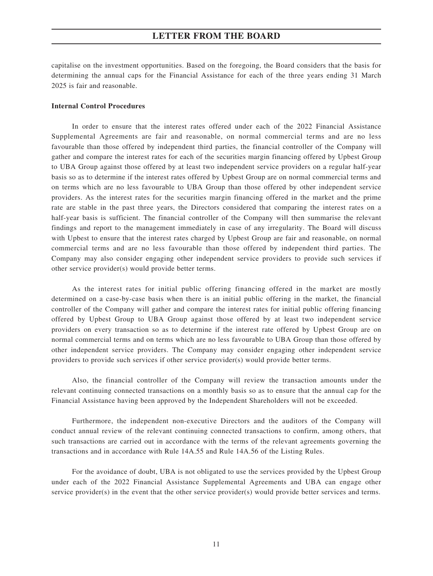capitalise on the investment opportunities. Based on the foregoing, the Board considers that the basis for determining the annual caps for the Financial Assistance for each of the three years ending 31 March 2025 is fair and reasonable.

#### **Internal Control Procedures**

In order to ensure that the interest rates offered under each of the 2022 Financial Assistance Supplemental Agreements are fair and reasonable, on normal commercial terms and are no less favourable than those offered by independent third parties, the financial controller of the Company will gather and compare the interest rates for each of the securities margin financing offered by Upbest Group to UBA Group against those offered by at least two independent service providers on a regular half-year basis so as to determine if the interest rates offered by Upbest Group are on normal commercial terms and on terms which are no less favourable to UBA Group than those offered by other independent service providers. As the interest rates for the securities margin financing offered in the market and the prime rate are stable in the past three years, the Directors considered that comparing the interest rates on a half-year basis is sufficient. The financial controller of the Company will then summarise the relevant findings and report to the management immediately in case of any irregularity. The Board will discuss with Upbest to ensure that the interest rates charged by Upbest Group are fair and reasonable, on normal commercial terms and are no less favourable than those offered by independent third parties. The Company may also consider engaging other independent service providers to provide such services if other service provider(s) would provide better terms.

As the interest rates for initial public offering financing offered in the market are mostly determined on a case-by-case basis when there is an initial public offering in the market, the financial controller of the Company will gather and compare the interest rates for initial public offering financing offered by Upbest Group to UBA Group against those offered by at least two independent service providers on every transaction so as to determine if the interest rate offered by Upbest Group are on normal commercial terms and on terms which are no less favourable to UBA Group than those offered by other independent service providers. The Company may consider engaging other independent service providers to provide such services if other service provider(s) would provide better terms.

Also, the financial controller of the Company will review the transaction amounts under the relevant continuing connected transactions on a monthly basis so as to ensure that the annual cap for the Financial Assistance having been approved by the Independent Shareholders will not be exceeded.

Furthermore, the independent non-executive Directors and the auditors of the Company will conduct annual review of the relevant continuing connected transactions to confirm, among others, that such transactions are carried out in accordance with the terms of the relevant agreements governing the transactions and in accordance with Rule 14A.55 and Rule 14A.56 of the Listing Rules.

For the avoidance of doubt, UBA is not obligated to use the services provided by the Upbest Group under each of the 2022 Financial Assistance Supplemental Agreements and UBA can engage other service provider(s) in the event that the other service provider(s) would provide better services and terms.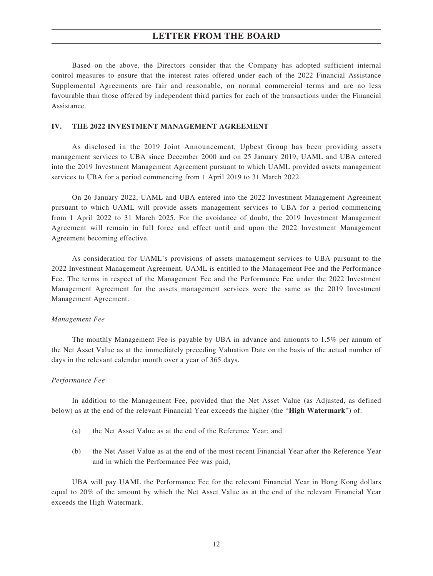Based on the above, the Directors consider that the Company has adopted sufficient internal control measures to ensure that the interest rates offered under each of the 2022 Financial Assistance Supplemental Agreements are fair and reasonable, on normal commercial terms and are no less favourable than those offered by independent third parties for each of the transactions under the Financial Assistance.

#### **IV. THE 2022 INVESTMENT MANAGEMENT AGREEMENT**

As disclosed in the 2019 Joint Announcement, Upbest Group has been providing assets management services to UBA since December 2000 and on 25 January 2019, UAML and UBA entered into the 2019 Investment Management Agreement pursuant to which UAML provided assets management services to UBA for a period commencing from 1 April 2019 to 31 March 2022.

On 26 January 2022, UAML and UBA entered into the 2022 Investment Management Agreement pursuant to which UAML will provide assets management services to UBA for a period commencing from 1 April 2022 to 31 March 2025. For the avoidance of doubt, the 2019 Investment Management Agreement will remain in full force and effect until and upon the 2022 Investment Management Agreement becoming effective.

As consideration for UAML's provisions of assets management services to UBA pursuant to the 2022 Investment Management Agreement, UAML is entitled to the Management Fee and the Performance Fee. The terms in respect of the Management Fee and the Performance Fee under the 2022 Investment Management Agreement for the assets management services were the same as the 2019 Investment Management Agreement.

#### *Management Fee*

The monthly Management Fee is payable by UBA in advance and amounts to 1.5% per annum of the Net Asset Value as at the immediately preceding Valuation Date on the basis of the actual number of days in the relevant calendar month over a year of 365 days.

#### *Performance Fee*

In addition to the Management Fee, provided that the Net Asset Value (as Adjusted, as defined below) as at the end of the relevant Financial Year exceeds the higher (the "**High Watermark**") of:

- (a) the Net Asset Value as at the end of the Reference Year; and
- (b) the Net Asset Value as at the end of the most recent Financial Year after the Reference Year and in which the Performance Fee was paid,

UBA will pay UAML the Performance Fee for the relevant Financial Year in Hong Kong dollars equal to 20% of the amount by which the Net Asset Value as at the end of the relevant Financial Year exceeds the High Watermark.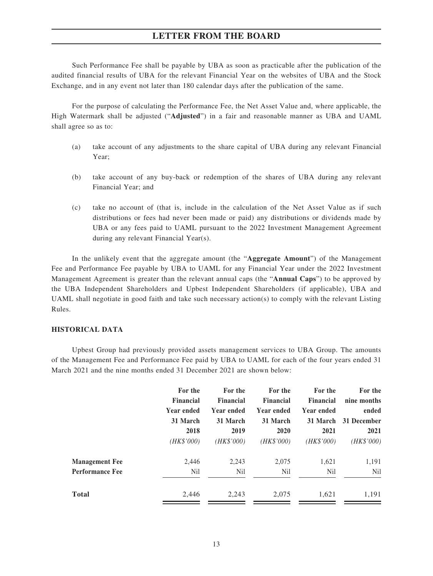Such Performance Fee shall be payable by UBA as soon as practicable after the publication of the audited financial results of UBA for the relevant Financial Year on the websites of UBA and the Stock Exchange, and in any event not later than 180 calendar days after the publication of the same.

For the purpose of calculating the Performance Fee, the Net Asset Value and, where applicable, the High Watermark shall be adjusted ("**Adjusted**") in a fair and reasonable manner as UBA and UAML shall agree so as to:

- (a) take account of any adjustments to the share capital of UBA during any relevant Financial Year;
- (b) take account of any buy-back or redemption of the shares of UBA during any relevant Financial Year; and
- (c) take no account of (that is, include in the calculation of the Net Asset Value as if such distributions or fees had never been made or paid) any distributions or dividends made by UBA or any fees paid to UAML pursuant to the 2022 Investment Management Agreement during any relevant Financial Year(s).

In the unlikely event that the aggregate amount (the "**Aggregate Amount**") of the Management Fee and Performance Fee payable by UBA to UAML for any Financial Year under the 2022 Investment Management Agreement is greater than the relevant annual caps (the "**Annual Caps**") to be approved by the UBA Independent Shareholders and Upbest Independent Shareholders (if applicable), UBA and UAML shall negotiate in good faith and take such necessary action(s) to comply with the relevant Listing Rules.

#### **HISTORICAL DATA**

Upbest Group had previously provided assets management services to UBA Group. The amounts of the Management Fee and Performance Fee paid by UBA to UAML for each of the four years ended 31 March 2021 and the nine months ended 31 December 2021 are shown below:

|                        | For the<br><b>Financial</b> | For the<br>Financial | For the<br>Financial | For the<br><b>Financial</b> | For the<br>nine months |
|------------------------|-----------------------------|----------------------|----------------------|-----------------------------|------------------------|
|                        | <b>Year ended</b>           | Year ended           | Year ended           | Year ended                  | ended                  |
|                        | 31 March                    | 31 March             | 31 March             | 31 March                    | 31 December            |
|                        | 2018                        | 2019                 | 2020                 | 2021                        | 2021                   |
|                        | (HK\$'000)                  | (HK\$'000)           | (HK\$'000)           | (HK\$'000)                  | (HK\$'000)             |
| <b>Management Fee</b>  | 2,446                       | 2,243                | 2,075                | 1,621                       | 1,191                  |
| <b>Performance Fee</b> | N <sub>il</sub>             | Nil                  | N <sub>il</sub>      | N <sub>il</sub>             | N <sub>il</sub>        |
| <b>Total</b>           | 2,446                       | 2,243                | 2,075                | 1,621                       | 1,191                  |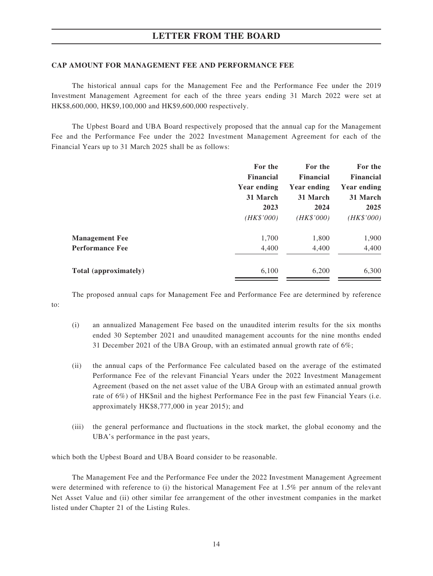#### **CAP AMOUNT FOR MANAGEMENT FEE AND PERFORMANCE FEE**

The historical annual caps for the Management Fee and the Performance Fee under the 2019 Investment Management Agreement for each of the three years ending 31 March 2022 were set at HK\$8,600,000, HK\$9,100,000 and HK\$9,600,000 respectively.

The Upbest Board and UBA Board respectively proposed that the annual cap for the Management Fee and the Performance Fee under the 2022 Investment Management Agreement for each of the Financial Years up to 31 March 2025 shall be as follows:

|                        | For the<br><b>Financial</b> | For the<br><b>Financial</b> | For the<br><b>Financial</b> |
|------------------------|-----------------------------|-----------------------------|-----------------------------|
|                        | Year ending                 | <b>Year ending</b>          | <b>Year ending</b>          |
|                        | 31 March                    | 31 March                    | 31 March                    |
|                        | 2023                        | 2024                        | 2025                        |
|                        | (HK\$'000)                  | (HK\$'000)                  | (HK\$'000)                  |
| <b>Management Fee</b>  | 1,700                       | 1,800                       | 1,900                       |
| <b>Performance Fee</b> | 4,400                       | 4,400                       | 4,400                       |
| Total (approximately)  | 6,100                       | 6,200                       | 6,300                       |

The proposed annual caps for Management Fee and Performance Fee are determined by reference

- (i) an annualized Management Fee based on the unaudited interim results for the six months ended 30 September 2021 and unaudited management accounts for the nine months ended 31 December 2021 of the UBA Group, with an estimated annual growth rate of 6%;
- (ii) the annual caps of the Performance Fee calculated based on the average of the estimated Performance Fee of the relevant Financial Years under the 2022 Investment Management Agreement (based on the net asset value of the UBA Group with an estimated annual growth rate of 6%) of HK\$nil and the highest Performance Fee in the past few Financial Years (i.e. approximately HK\$8,777,000 in year 2015); and
- (iii) the general performance and fluctuations in the stock market, the global economy and the UBA's performance in the past years,

which both the Upbest Board and UBA Board consider to be reasonable.

to:

The Management Fee and the Performance Fee under the 2022 Investment Management Agreement were determined with reference to (i) the historical Management Fee at 1.5% per annum of the relevant Net Asset Value and (ii) other similar fee arrangement of the other investment companies in the market listed under Chapter 21 of the Listing Rules.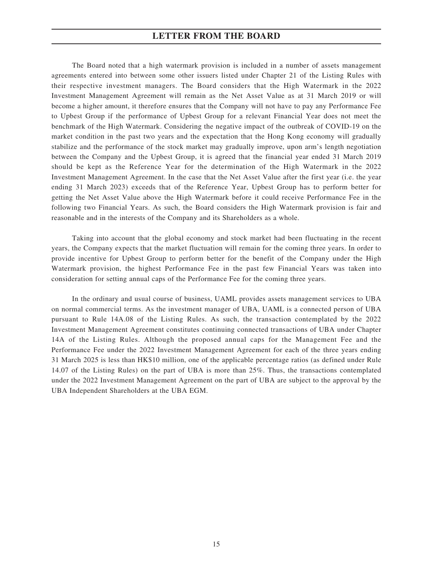The Board noted that a high watermark provision is included in a number of assets management agreements entered into between some other issuers listed under Chapter 21 of the Listing Rules with their respective investment managers. The Board considers that the High Watermark in the 2022 Investment Management Agreement will remain as the Net Asset Value as at 31 March 2019 or will become a higher amount, it therefore ensures that the Company will not have to pay any Performance Fee to Upbest Group if the performance of Upbest Group for a relevant Financial Year does not meet the benchmark of the High Watermark. Considering the negative impact of the outbreak of COVID-19 on the market condition in the past two years and the expectation that the Hong Kong economy will gradually stabilize and the performance of the stock market may gradually improve, upon arm's length negotiation between the Company and the Upbest Group, it is agreed that the financial year ended 31 March 2019 should be kept as the Reference Year for the determination of the High Watermark in the 2022 Investment Management Agreement. In the case that the Net Asset Value after the first year (i.e. the year ending 31 March 2023) exceeds that of the Reference Year, Upbest Group has to perform better for getting the Net Asset Value above the High Watermark before it could receive Performance Fee in the following two Financial Years. As such, the Board considers the High Watermark provision is fair and reasonable and in the interests of the Company and its Shareholders as a whole.

Taking into account that the global economy and stock market had been fluctuating in the recent years, the Company expects that the market fluctuation will remain for the coming three years. In order to provide incentive for Upbest Group to perform better for the benefit of the Company under the High Watermark provision, the highest Performance Fee in the past few Financial Years was taken into consideration for setting annual caps of the Performance Fee for the coming three years.

In the ordinary and usual course of business, UAML provides assets management services to UBA on normal commercial terms. As the investment manager of UBA, UAML is a connected person of UBA pursuant to Rule 14A.08 of the Listing Rules. As such, the transaction contemplated by the 2022 Investment Management Agreement constitutes continuing connected transactions of UBA under Chapter 14A of the Listing Rules. Although the proposed annual caps for the Management Fee and the Performance Fee under the 2022 Investment Management Agreement for each of the three years ending 31 March 2025 is less than HK\$10 million, one of the applicable percentage ratios (as defined under Rule 14.07 of the Listing Rules) on the part of UBA is more than 25%. Thus, the transactions contemplated under the 2022 Investment Management Agreement on the part of UBA are subject to the approval by the UBA Independent Shareholders at the UBA EGM.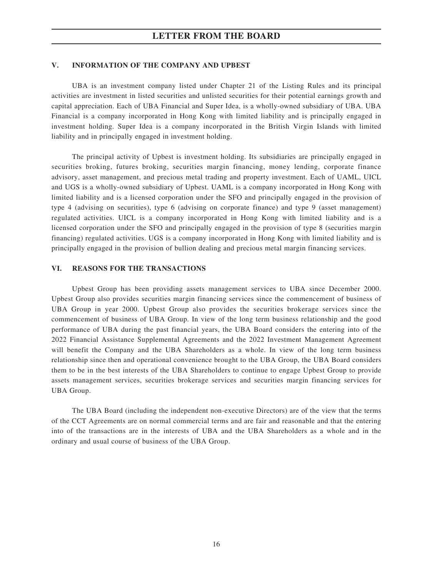#### **V. INFORMATION OF THE COMPANY AND UPBEST**

UBA is an investment company listed under Chapter 21 of the Listing Rules and its principal activities are investment in listed securities and unlisted securities for their potential earnings growth and capital appreciation. Each of UBA Financial and Super Idea, is a wholly-owned subsidiary of UBA. UBA Financial is a company incorporated in Hong Kong with limited liability and is principally engaged in investment holding. Super Idea is a company incorporated in the British Virgin Islands with limited liability and in principally engaged in investment holding.

The principal activity of Upbest is investment holding. Its subsidiaries are principally engaged in securities broking, futures broking, securities margin financing, money lending, corporate finance advisory, asset management, and precious metal trading and property investment. Each of UAML, UICL and UGS is a wholly-owned subsidiary of Upbest. UAML is a company incorporated in Hong Kong with limited liability and is a licensed corporation under the SFO and principally engaged in the provision of type 4 (advising on securities), type 6 (advising on corporate finance) and type 9 (asset management) regulated activities. UICL is a company incorporated in Hong Kong with limited liability and is a licensed corporation under the SFO and principally engaged in the provision of type 8 (securities margin financing) regulated activities. UGS is a company incorporated in Hong Kong with limited liability and is principally engaged in the provision of bullion dealing and precious metal margin financing services.

#### **VI. REASONS FOR THE TRANSACTIONS**

Upbest Group has been providing assets management services to UBA since December 2000. Upbest Group also provides securities margin financing services since the commencement of business of UBA Group in year 2000. Upbest Group also provides the securities brokerage services since the commencement of business of UBA Group. In view of the long term business relationship and the good performance of UBA during the past financial years, the UBA Board considers the entering into of the 2022 Financial Assistance Supplemental Agreements and the 2022 Investment Management Agreement will benefit the Company and the UBA Shareholders as a whole. In view of the long term business relationship since then and operational convenience brought to the UBA Group, the UBA Board considers them to be in the best interests of the UBA Shareholders to continue to engage Upbest Group to provide assets management services, securities brokerage services and securities margin financing services for UBA Group.

The UBA Board (including the independent non-executive Directors) are of the view that the terms of the CCT Agreements are on normal commercial terms and are fair and reasonable and that the entering into of the transactions are in the interests of UBA and the UBA Shareholders as a whole and in the ordinary and usual course of business of the UBA Group.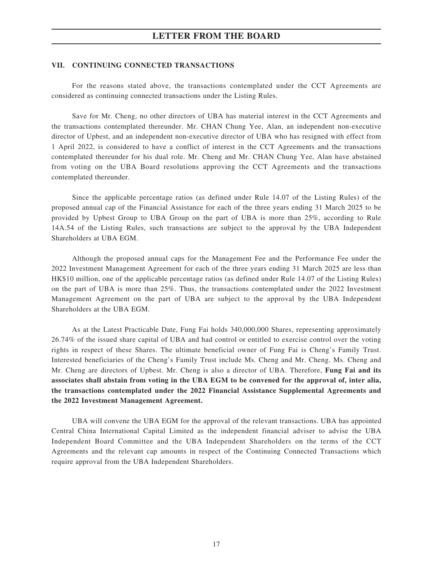#### **VII. CONTINUING CONNECTED TRANSACTIONS**

For the reasons stated above, the transactions contemplated under the CCT Agreements are considered as continuing connected transactions under the Listing Rules.

Save for Mr. Cheng, no other directors of UBA has material interest in the CCT Agreements and the transactions contemplated thereunder. Mr. CHAN Chung Yee, Alan, an independent non-executive director of Upbest, and an independent non-executive director of UBA who has resigned with effect from 1 April 2022, is considered to have a conflict of interest in the CCT Agreements and the transactions contemplated thereunder for his dual role. Mr. Cheng and Mr. CHAN Chung Yee, Alan have abstained from voting on the UBA Board resolutions approving the CCT Agreements and the transactions contemplated thereunder.

Since the applicable percentage ratios (as defined under Rule 14.07 of the Listing Rules) of the proposed annual cap of the Financial Assistance for each of the three years ending 31 March 2025 to be provided by Upbest Group to UBA Group on the part of UBA is more than 25%, according to Rule 14A.54 of the Listing Rules, such transactions are subject to the approval by the UBA Independent Shareholders at UBA EGM.

Although the proposed annual caps for the Management Fee and the Performance Fee under the 2022 Investment Management Agreement for each of the three years ending 31 March 2025 are less than HK\$10 million, one of the applicable percentage ratios (as defined under Rule 14.07 of the Listing Rules) on the part of UBA is more than 25%. Thus, the transactions contemplated under the 2022 Investment Management Agreement on the part of UBA are subject to the approval by the UBA Independent Shareholders at the UBA EGM.

As at the Latest Practicable Date, Fung Fai holds 340,000,000 Shares, representing approximately 26.74% of the issued share capital of UBA and had control or entitled to exercise control over the voting rights in respect of these Shares. The ultimate beneficial owner of Fung Fai is Cheng's Family Trust. Interested beneficiaries of the Cheng's Family Trust include Ms. Cheng and Mr. Cheng. Ms. Cheng and Mr. Cheng are directors of Upbest. Mr. Cheng is also a director of UBA. Therefore, **Fung Fai and its associates shall abstain from voting in the UBA EGM to be convened for the approval of, inter alia, the transactions contemplated under the 2022 Financial Assistance Supplemental Agreements and the 2022 Investment Management Agreement.**

UBA will convene the UBA EGM for the approval of the relevant transactions. UBA has appointed Central China International Capital Limited as the independent financial adviser to advise the UBA Independent Board Committee and the UBA Independent Shareholders on the terms of the CCT Agreements and the relevant cap amounts in respect of the Continuing Connected Transactions which require approval from the UBA Independent Shareholders.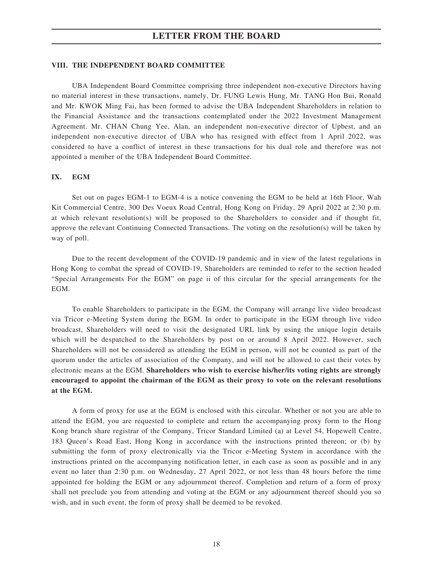#### **VIII. THE INDEPENDENT BOARD COMMITTEE**

UBA Independent Board Committee comprising three independent non-executive Directors having no material interest in these transactions, namely, Dr. FUNG Lewis Hung, Mr. TANG Hon Bui, Ronald and Mr. KWOK Ming Fai, has been formed to advise the UBA Independent Shareholders in relation to the Financial Assistance and the transactions contemplated under the 2022 Investment Management Agreement. Mr. CHAN Chung Yee, Alan, an independent non-executive director of Upbest, and an independent non-executive director of UBA who has resigned with effect from 1 April 2022, was considered to have a conflict of interest in these transactions for his dual role and therefore was not appointed a member of the UBA Independent Board Committee.

#### **IX. EGM**

Set out on pages EGM-1 to EGM-4 is a notice convening the EGM to be held at 16th Floor, Wah Kit Commercial Centre, 300 Des Voeux Road Central, Hong Kong on Friday, 29 April 2022 at 2:30 p.m. at which relevant resolution(s) will be proposed to the Shareholders to consider and if thought fit, approve the relevant Continuing Connected Transactions. The voting on the resolution(s) will be taken by way of poll.

Due to the recent development of the COVID-19 pandemic and in view of the latest regulations in Hong Kong to combat the spread of COVID-19, Shareholders are reminded to refer to the section headed "Special Arrangements For the EGM" on page ii of this circular for the special arrangements for the **EGM** 

To enable Shareholders to participate in the EGM, the Company will arrange live video broadcast via Tricor e-Meeting System during the EGM. In order to participate in the EGM through live video broadcast, Shareholders will need to visit the designated URL link by using the unique login details which will be despatched to the Shareholders by post on or around 8 April 2022. However, such Shareholders will not be considered as attending the EGM in person, will not be counted as part of the quorum under the articles of association of the Company, and will not be allowed to cast their votes by electronic means at the EGM. **Shareholders who wish to exercise his/her/its voting rights are strongly encouraged to appoint the chairman of the EGM as their proxy to vote on the relevant resolutions at the EGM.**

A form of proxy for use at the EGM is enclosed with this circular. Whether or not you are able to attend the EGM, you are requested to complete and return the accompanying proxy form to the Hong Kong branch share registrar of the Company, Tricor Standard Limited (a) at Level 54, Hopewell Centre, 183 Queen's Road East, Hong Kong in accordance with the instructions printed thereon; or (b) by submitting the form of proxy electronically via the Tricor e-Meeting System in accordance with the instructions printed on the accompanying notification letter, in each case as soon as possible and in any event no later than 2:30 p.m. on Wednesday, 27 April 2022, or not less than 48 hours before the time appointed for holding the EGM or any adjournment thereof. Completion and return of a form of proxy shall not preclude you from attending and voting at the EGM or any adjournment thereof should you so wish, and in such event, the form of proxy shall be deemed to be revoked.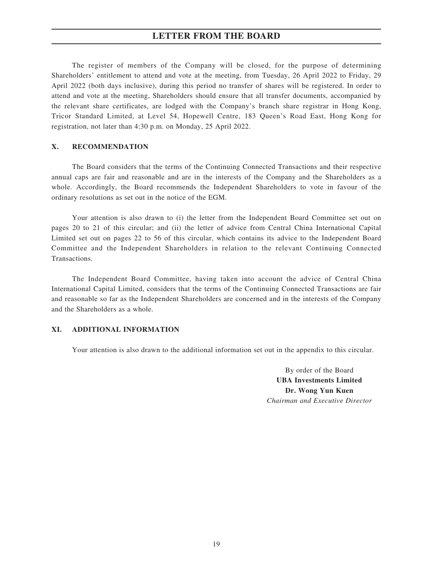The register of members of the Company will be closed, for the purpose of determining Shareholders' entitlement to attend and vote at the meeting, from Tuesday, 26 April 2022 to Friday, 29 April 2022 (both days inclusive), during this period no transfer of shares will be registered. In order to attend and vote at the meeting, Shareholders should ensure that all transfer documents, accompanied by the relevant share certificates, are lodged with the Company's branch share registrar in Hong Kong, Tricor Standard Limited, at Level 54, Hopewell Centre, 183 Queen's Road East, Hong Kong for registration, not later than 4:30 p.m. on Monday, 25 April 2022.

#### **X. RECOMMENDATION**

The Board considers that the terms of the Continuing Connected Transactions and their respective annual caps are fair and reasonable and are in the interests of the Company and the Shareholders as a whole. Accordingly, the Board recommends the Independent Shareholders to vote in favour of the ordinary resolutions as set out in the notice of the EGM.

Your attention is also drawn to (i) the letter from the Independent Board Committee set out on pages 20 to 21 of this circular; and (ii) the letter of advice from Central China International Capital Limited set out on pages 22 to 56 of this circular, which contains its advice to the Independent Board Committee and the Independent Shareholders in relation to the relevant Continuing Connected Transactions.

The Independent Board Committee, having taken into account the advice of Central China International Capital Limited, considers that the terms of the Continuing Connected Transactions are fair and reasonable so far as the Independent Shareholders are concerned and in the interests of the Company and the Shareholders as a whole.

#### **XI. ADDITIONAL INFORMATION**

Your attention is also drawn to the additional information set out in the appendix to this circular.

By order of the Board **UBA Investments Limited Dr. Wong Yun Kuen** *Chairman and Executive Director*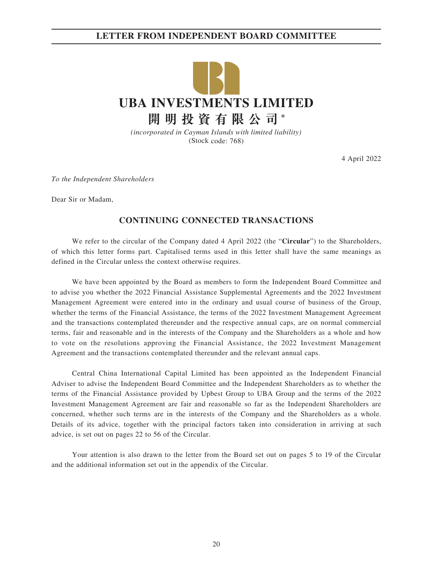# **LETTER FROM INDEPENDENT BOARD COMMITTEE**



*(incorporated in Cayman Islands with limited liability)* (Stock code: 768)

4 April 2022

*To the Independent Shareholders*

Dear Sir or Madam,

### **CONTINUING CONNECTED TRANSACTIONS**

We refer to the circular of the Company dated 4 April 2022 (the "**Circular**") to the Shareholders, of which this letter forms part. Capitalised terms used in this letter shall have the same meanings as defined in the Circular unless the context otherwise requires.

We have been appointed by the Board as members to form the Independent Board Committee and to advise you whether the 2022 Financial Assistance Supplemental Agreements and the 2022 Investment Management Agreement were entered into in the ordinary and usual course of business of the Group, whether the terms of the Financial Assistance, the terms of the 2022 Investment Management Agreement and the transactions contemplated thereunder and the respective annual caps, are on normal commercial terms, fair and reasonable and in the interests of the Company and the Shareholders as a whole and how to vote on the resolutions approving the Financial Assistance, the 2022 Investment Management Agreement and the transactions contemplated thereunder and the relevant annual caps.

Central China International Capital Limited has been appointed as the Independent Financial Adviser to advise the Independent Board Committee and the Independent Shareholders as to whether the terms of the Financial Assistance provided by Upbest Group to UBA Group and the terms of the 2022 Investment Management Agreement are fair and reasonable so far as the Independent Shareholders are concerned, whether such terms are in the interests of the Company and the Shareholders as a whole. Details of its advice, together with the principal factors taken into consideration in arriving at such advice, is set out on pages 22 to 56 of the Circular.

Your attention is also drawn to the letter from the Board set out on pages 5 to 19 of the Circular and the additional information set out in the appendix of the Circular.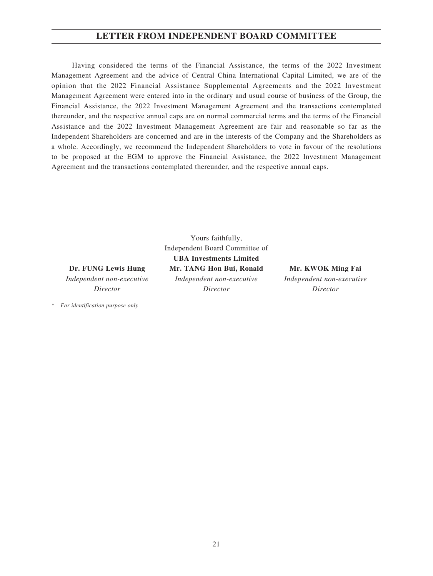# **LETTER FROM INDEPENDENT BOARD COMMITTEE**

Having considered the terms of the Financial Assistance, the terms of the 2022 Investment Management Agreement and the advice of Central China International Capital Limited, we are of the opinion that the 2022 Financial Assistance Supplemental Agreements and the 2022 Investment Management Agreement were entered into in the ordinary and usual course of business of the Group, the Financial Assistance, the 2022 Investment Management Agreement and the transactions contemplated thereunder, and the respective annual caps are on normal commercial terms and the terms of the Financial Assistance and the 2022 Investment Management Agreement are fair and reasonable so far as the Independent Shareholders are concerned and are in the interests of the Company and the Shareholders as a whole. Accordingly, we recommend the Independent Shareholders to vote in favour of the resolutions to be proposed at the EGM to approve the Financial Assistance, the 2022 Investment Management Agreement and the transactions contemplated thereunder, and the respective annual caps.

**Dr. FUNG Lewis Hung** *Independent non-executive Director*

\* *For identification purpose only*

Yours faithfully, Independent Board Committee of **UBA Investments Limited Mr. TANG Hon Bui, Ronald** *Independent non-executive Director*

**Mr. KWOK Ming Fai** *Independent non-executive Director*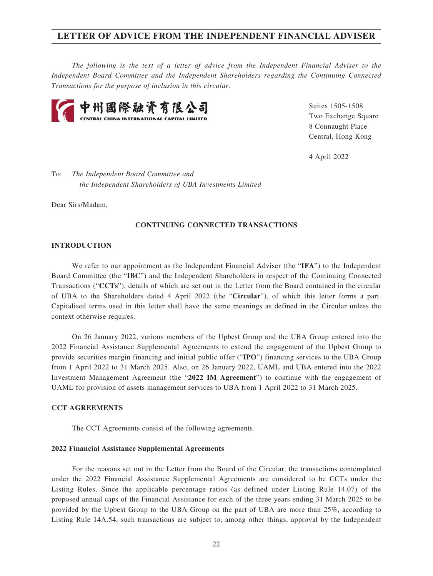*The following is the text of a letter of advice from the Independent Financial Adviser to the Independent Board Committee and the Independent Shareholders regarding the Continuing Connected Transactions for the purpose of inclusion in this circular.*



Suites 1505-1508 Two Exchange Square 8 Connaught Place Central, Hong Kong

4 April 2022

To: *The Independent Board Committee and the Independent Shareholders of UBA Investments Limited*

Dear Sirs/Madam,

#### **CONTINUING CONNECTED TRANSACTIONS**

#### **INTRODUCTION**

We refer to our appointment as the Independent Financial Adviser (the "**IFA**") to the Independent Board Committee (the "**IBC**") and the Independent Shareholders in respect of the Continuing Connected Transactions ("**CCTs**"), details of which are set out in the Letter from the Board contained in the circular of UBA to the Shareholders dated 4 April 2022 (the "**Circular**"), of which this letter forms a part. Capitalised terms used in this letter shall have the same meanings as defined in the Circular unless the context otherwise requires.

On 26 January 2022, various members of the Upbest Group and the UBA Group entered into the 2022 Financial Assistance Supplemental Agreements to extend the engagement of the Upbest Group to provide securities margin financing and initial public offer ("**IPO**") financing services to the UBA Group from 1 April 2022 to 31 March 2025. Also, on 26 January 2022, UAML and UBA entered into the 2022 Investment Management Agreement (the "**2022 IM Agreement**") to continue with the engagement of UAML for provision of assets management services to UBA from 1 April 2022 to 31 March 2025.

#### **CCT AGREEMENTS**

The CCT Agreements consist of the following agreements.

#### **2022 Financial Assistance Supplemental Agreements**

For the reasons set out in the Letter from the Board of the Circular, the transactions contemplated under the 2022 Financial Assistance Supplemental Agreements are considered to be CCTs under the Listing Rules. Since the applicable percentage ratios (as defined under Listing Rule 14.07) of the proposed annual caps of the Financial Assistance for each of the three years ending 31 March 2025 to be provided by the Upbest Group to the UBA Group on the part of UBA are more than 25%, according to Listing Rule 14A.54, such transactions are subject to, among other things, approval by the Independent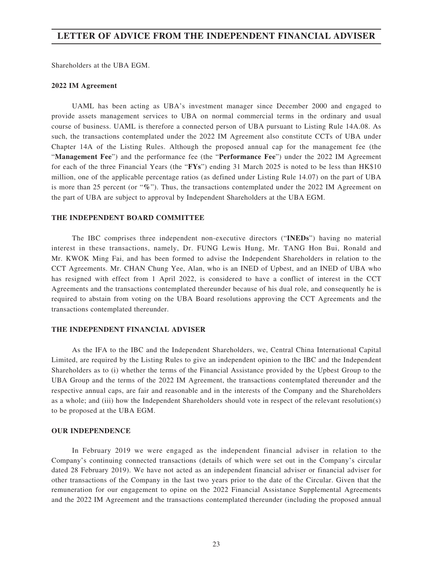Shareholders at the UBA EGM.

#### **2022 IM Agreement**

UAML has been acting as UBA's investment manager since December 2000 and engaged to provide assets management services to UBA on normal commercial terms in the ordinary and usual course of business. UAML is therefore a connected person of UBA pursuant to Listing Rule 14A.08. As such, the transactions contemplated under the 2022 IM Agreement also constitute CCTs of UBA under Chapter 14A of the Listing Rules. Although the proposed annual cap for the management fee (the "**Management Fee**") and the performance fee (the "**Performance Fee**") under the 2022 IM Agreement for each of the three Financial Years (the "**FYs**") ending 31 March 2025 is noted to be less than HK\$10 million, one of the applicable percentage ratios (as defined under Listing Rule 14.07) on the part of UBA is more than 25 percent (or "**%**"). Thus, the transactions contemplated under the 2022 IM Agreement on the part of UBA are subject to approval by Independent Shareholders at the UBA EGM.

#### **THE INDEPENDENT BOARD COMMITTEE**

The IBC comprises three independent non-executive directors ("**INEDs**") having no material interest in these transactions, namely, Dr. FUNG Lewis Hung, Mr. TANG Hon Bui, Ronald and Mr. KWOK Ming Fai, and has been formed to advise the Independent Shareholders in relation to the CCT Agreements. Mr. CHAN Chung Yee, Alan, who is an INED of Upbest, and an INED of UBA who has resigned with effect from 1 April 2022, is considered to have a conflict of interest in the CCT Agreements and the transactions contemplated thereunder because of his dual role, and consequently he is required to abstain from voting on the UBA Board resolutions approving the CCT Agreements and the transactions contemplated thereunder.

#### **THE INDEPENDENT FINANCIAL ADVISER**

As the IFA to the IBC and the Independent Shareholders, we, Central China International Capital Limited, are required by the Listing Rules to give an independent opinion to the IBC and the Independent Shareholders as to (i) whether the terms of the Financial Assistance provided by the Upbest Group to the UBA Group and the terms of the 2022 IM Agreement, the transactions contemplated thereunder and the respective annual caps, are fair and reasonable and in the interests of the Company and the Shareholders as a whole; and (iii) how the Independent Shareholders should vote in respect of the relevant resolution(s) to be proposed at the UBA EGM.

#### **OUR INDEPENDENCE**

In February 2019 we were engaged as the independent financial adviser in relation to the Company's continuing connected transactions (details of which were set out in the Company's circular dated 28 February 2019). We have not acted as an independent financial adviser or financial adviser for other transactions of the Company in the last two years prior to the date of the Circular. Given that the remuneration for our engagement to opine on the 2022 Financial Assistance Supplemental Agreements and the 2022 IM Agreement and the transactions contemplated thereunder (including the proposed annual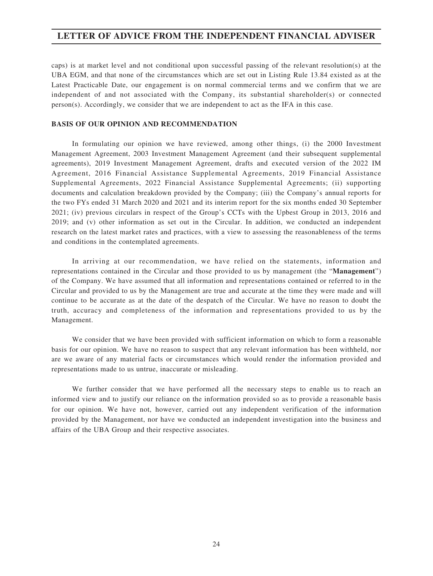caps) is at market level and not conditional upon successful passing of the relevant resolution(s) at the UBA EGM, and that none of the circumstances which are set out in Listing Rule 13.84 existed as at the Latest Practicable Date, our engagement is on normal commercial terms and we confirm that we are independent of and not associated with the Company, its substantial shareholder(s) or connected  $person(s)$ . Accordingly, we consider that we are independent to act as the IFA in this case.

#### **BASIS OF OUR OPINION AND RECOMMENDATION**

In formulating our opinion we have reviewed, among other things, (i) the 2000 Investment Management Agreement, 2003 Investment Management Agreement (and their subsequent supplemental agreements), 2019 Investment Management Agreement, drafts and executed version of the 2022 IM Agreement, 2016 Financial Assistance Supplemental Agreements, 2019 Financial Assistance Supplemental Agreements, 2022 Financial Assistance Supplemental Agreements; (ii) supporting documents and calculation breakdown provided by the Company; (iii) the Company's annual reports for the two FYs ended 31 March 2020 and 2021 and its interim report for the six months ended 30 September 2021; (iv) previous circulars in respect of the Group's CCTs with the Upbest Group in 2013, 2016 and 2019; and (v) other information as set out in the Circular. In addition, we conducted an independent research on the latest market rates and practices, with a view to assessing the reasonableness of the terms and conditions in the contemplated agreements.

In arriving at our recommendation, we have relied on the statements, information and representations contained in the Circular and those provided to us by management (the "**Management**") of the Company. We have assumed that all information and representations contained or referred to in the Circular and provided to us by the Management are true and accurate at the time they were made and will continue to be accurate as at the date of the despatch of the Circular. We have no reason to doubt the truth, accuracy and completeness of the information and representations provided to us by the Management.

We consider that we have been provided with sufficient information on which to form a reasonable basis for our opinion. We have no reason to suspect that any relevant information has been withheld, nor are we aware of any material facts or circumstances which would render the information provided and representations made to us untrue, inaccurate or misleading.

We further consider that we have performed all the necessary steps to enable us to reach an informed view and to justify our reliance on the information provided so as to provide a reasonable basis for our opinion. We have not, however, carried out any independent verification of the information provided by the Management, nor have we conducted an independent investigation into the business and affairs of the UBA Group and their respective associates.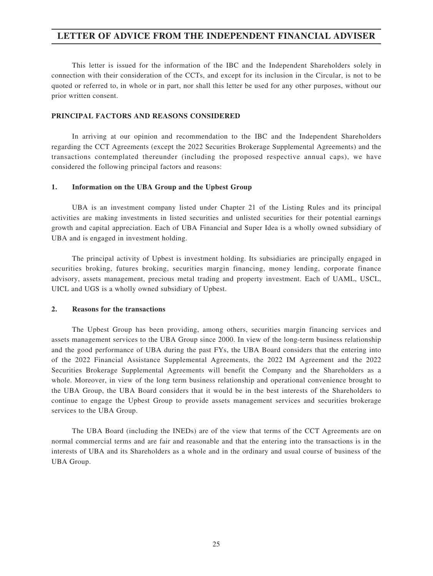This letter is issued for the information of the IBC and the Independent Shareholders solely in connection with their consideration of the CCTs, and except for its inclusion in the Circular, is not to be quoted or referred to, in whole or in part, nor shall this letter be used for any other purposes, without our prior written consent.

#### **PRINCIPAL FACTORS AND REASONS CONSIDERED**

In arriving at our opinion and recommendation to the IBC and the Independent Shareholders regarding the CCT Agreements (except the 2022 Securities Brokerage Supplemental Agreements) and the transactions contemplated thereunder (including the proposed respective annual caps), we have considered the following principal factors and reasons:

### **1. Information on the UBA Group and the Upbest Group**

UBA is an investment company listed under Chapter 21 of the Listing Rules and its principal activities are making investments in listed securities and unlisted securities for their potential earnings growth and capital appreciation. Each of UBA Financial and Super Idea is a wholly owned subsidiary of UBA and is engaged in investment holding.

The principal activity of Upbest is investment holding. Its subsidiaries are principally engaged in securities broking, futures broking, securities margin financing, money lending, corporate finance advisory, assets management, precious metal trading and property investment. Each of UAML, USCL, UICL and UGS is a wholly owned subsidiary of Upbest.

#### **2. Reasons for the transactions**

The Upbest Group has been providing, among others, securities margin financing services and assets management services to the UBA Group since 2000. In view of the long-term business relationship and the good performance of UBA during the past FYs, the UBA Board considers that the entering into of the 2022 Financial Assistance Supplemental Agreements, the 2022 IM Agreement and the 2022 Securities Brokerage Supplemental Agreements will benefit the Company and the Shareholders as a whole. Moreover, in view of the long term business relationship and operational convenience brought to the UBA Group, the UBA Board considers that it would be in the best interests of the Shareholders to continue to engage the Upbest Group to provide assets management services and securities brokerage services to the UBA Group.

The UBA Board (including the INEDs) are of the view that terms of the CCT Agreements are on normal commercial terms and are fair and reasonable and that the entering into the transactions is in the interests of UBA and its Shareholders as a whole and in the ordinary and usual course of business of the UBA Group.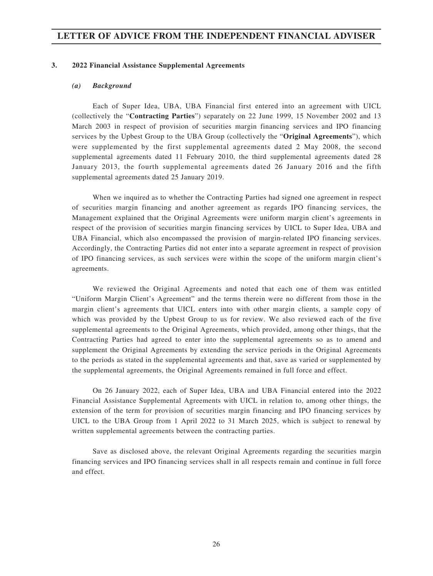#### **3. 2022 Financial Assistance Supplemental Agreements**

#### *(a) Background*

Each of Super Idea, UBA, UBA Financial first entered into an agreement with UICL (collectively the "**Contracting Parties**") separately on 22 June 1999, 15 November 2002 and 13 March 2003 in respect of provision of securities margin financing services and IPO financing services by the Upbest Group to the UBA Group (collectively the "**Original Agreements**"), which were supplemented by the first supplemental agreements dated 2 May 2008, the second supplemental agreements dated 11 February 2010, the third supplemental agreements dated 28 January 2013, the fourth supplemental agreements dated 26 January 2016 and the fifth supplemental agreements dated 25 January 2019.

When we inquired as to whether the Contracting Parties had signed one agreement in respect of securities margin financing and another agreement as regards IPO financing services, the Management explained that the Original Agreements were uniform margin client's agreements in respect of the provision of securities margin financing services by UICL to Super Idea, UBA and UBA Financial, which also encompassed the provision of margin-related IPO financing services. Accordingly, the Contracting Parties did not enter into a separate agreement in respect of provision of IPO financing services, as such services were within the scope of the uniform margin client's agreements.

We reviewed the Original Agreements and noted that each one of them was entitled "Uniform Margin Client's Agreement" and the terms therein were no different from those in the margin client's agreements that UICL enters into with other margin clients, a sample copy of which was provided by the Upbest Group to us for review. We also reviewed each of the five supplemental agreements to the Original Agreements, which provided, among other things, that the Contracting Parties had agreed to enter into the supplemental agreements so as to amend and supplement the Original Agreements by extending the service periods in the Original Agreements to the periods as stated in the supplemental agreements and that, save as varied or supplemented by the supplemental agreements, the Original Agreements remained in full force and effect.

On 26 January 2022, each of Super Idea, UBA and UBA Financial entered into the 2022 Financial Assistance Supplemental Agreements with UICL in relation to, among other things, the extension of the term for provision of securities margin financing and IPO financing services by UICL to the UBA Group from 1 April 2022 to 31 March 2025, which is subject to renewal by written supplemental agreements between the contracting parties.

Save as disclosed above, the relevant Original Agreements regarding the securities margin financing services and IPO financing services shall in all respects remain and continue in full force and effect.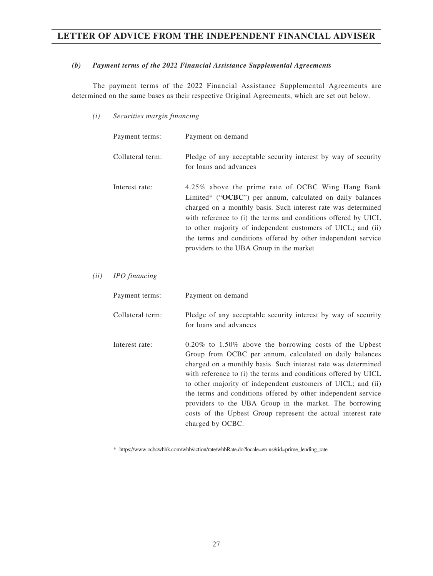#### *(b) Payment terms of the 2022 Financial Assistance Supplemental Agreements*

The payment terms of the 2022 Financial Assistance Supplemental Agreements are determined on the same bases as their respective Original Agreements, which are set out below.

*(i) Securities margin financing*

|      | Payment terms:   | Payment on demand                                                                                                                                                                                                                                                                                                                                                                                                              |
|------|------------------|--------------------------------------------------------------------------------------------------------------------------------------------------------------------------------------------------------------------------------------------------------------------------------------------------------------------------------------------------------------------------------------------------------------------------------|
|      | Collateral term: | Pledge of any acceptable security interest by way of security<br>for loans and advances                                                                                                                                                                                                                                                                                                                                        |
|      | Interest rate:   | 4.25% above the prime rate of OCBC Wing Hang Bank<br>Limited* ("OCBC") per annum, calculated on daily balances<br>charged on a monthly basis. Such interest rate was determined<br>with reference to (i) the terms and conditions offered by UICL<br>to other majority of independent customers of UICL; and (ii)<br>the terms and conditions offered by other independent service<br>providers to the UBA Group in the market |
| (ii) | IPO financing    |                                                                                                                                                                                                                                                                                                                                                                                                                                |
|      | Payment terms:   | Payment on demand                                                                                                                                                                                                                                                                                                                                                                                                              |
|      | Collateral term: | Pledge of any acceptable security interest by way of security<br>for loans and advances                                                                                                                                                                                                                                                                                                                                        |
|      |                  |                                                                                                                                                                                                                                                                                                                                                                                                                                |

Interest rate: 0.20% to 1.50% above the borrowing costs of the Upbest Group from OCBC per annum, calculated on daily balances charged on a monthly basis. Such interest rate was determined with reference to (i) the terms and conditions offered by UICL to other majority of independent customers of UICL; and (ii) the terms and conditions offered by other independent service providers to the UBA Group in the market. The borrowing costs of the Upbest Group represent the actual interest rate charged by OCBC.

\* https://www.ocbcwhhk.com/whb/action/rate/whbRate[.do?locale=en-us&id=prime\\_lending\\_rate](https://www.ocbcwhhk.com/whb/action/rate/whbRate.do?locale=en-us&id=prime_lending_rate)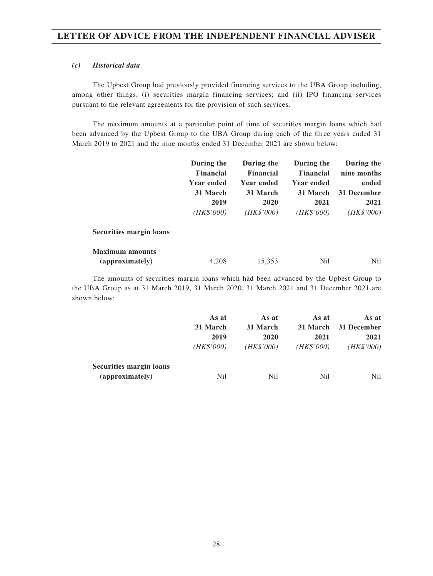#### *(c) Historical data*

The Upbest Group had previously provided financing services to the UBA Group including, among other things, (i) securities margin financing services; and (ii) IPO financing services pursuant to the relevant agreements for the provision of such services.

The maximum amounts at a particular point of time of securities margin loans which had been advanced by the Upbest Group to the UBA Group during each of the three years ended 31 March 2019 to 2021 and the nine months ended 31 December 2021 are shown below:

|                                | During the<br><b>Financial</b> | During the<br><b>Financial</b> | During the<br><b>Financial</b> | During the<br>nine months |
|--------------------------------|--------------------------------|--------------------------------|--------------------------------|---------------------------|
|                                | <b>Year ended</b>              | <b>Year ended</b>              | <b>Year ended</b>              | ended                     |
|                                | 31 March                       | 31 March                       | 31 March                       | 31 December               |
|                                | 2019                           | 2020                           | 2021                           | 2021                      |
|                                | (HK\$'000)                     | (HK\$'000)                     | (HK\$'000)                     | (HK\$'000)                |
| <b>Securities margin loans</b> |                                |                                |                                |                           |
| <b>Maximum</b> amounts         |                                |                                |                                |                           |
| (approximately)                | 4.208                          | 15,353                         | Nil                            | Nil                       |

The amounts of securities margin loans which had been advanced by the Upbest Group to the UBA Group as at 31 March 2019, 31 March 2020, 31 March 2021 and 31 December 2021 are shown below:

|                                            | As at      | As at      | As at          | As at       |
|--------------------------------------------|------------|------------|----------------|-------------|
|                                            | 31 March   | 31 March   | 31 March       | 31 December |
|                                            | 2019       | 2020       | 2021           | 2021        |
|                                            | (HK\$'000) | (HK\$'000) | (HK\$'000)     | (HK\$'000)  |
| Securities margin loans<br>(approximately) | Nil        | Nil        | N <sub>i</sub> | Nil         |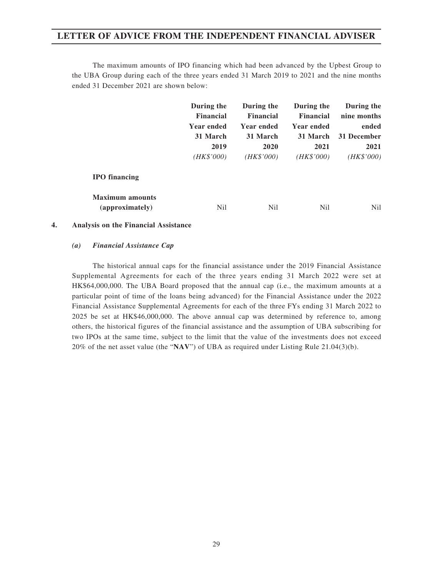The maximum amounts of IPO financing which had been advanced by the Upbest Group to the UBA Group during each of the three years ended 31 March 2019 to 2021 and the nine months ended 31 December 2021 are shown below:

|                        | During the<br><b>Financial</b> | During the<br><b>Financial</b> | During the<br><b>Financial</b> | During the<br>nine months |
|------------------------|--------------------------------|--------------------------------|--------------------------------|---------------------------|
|                        | <b>Year ended</b>              | Year ended                     | <b>Year ended</b>              | ended                     |
|                        | 31 March                       | 31 March                       | 31 March                       | 31 December               |
|                        | 2019                           | 2020                           | 2021                           | 2021                      |
|                        | (HK\$'000)                     | (HK\$'000)                     | (HK\$'000)                     | (HK\$'000)                |
| <b>IPO</b> financing   |                                |                                |                                |                           |
| <b>Maximum</b> amounts |                                |                                |                                |                           |
| (approximately)        | Nil                            | N <sub>il</sub>                | N <sub>il</sub>                | Nil.                      |

#### **4. Analysis on the Financial Assistance**

#### *(a) Financial Assistance Cap*

The historical annual caps for the financial assistance under the 2019 Financial Assistance Supplemental Agreements for each of the three years ending 31 March 2022 were set at HK\$64,000,000. The UBA Board proposed that the annual cap (i.e., the maximum amounts at a particular point of time of the loans being advanced) for the Financial Assistance under the 2022 Financial Assistance Supplemental Agreements for each of the three FYs ending 31 March 2022 to 2025 be set at HK\$46,000,000. The above annual cap was determined by reference to, among others, the historical figures of the financial assistance and the assumption of UBA subscribing for two IPOs at the same time, subject to the limit that the value of the investments does not exceed 20% of the net asset value (the "**NAV**") of UBA as required under Listing Rule 21.04(3)(b).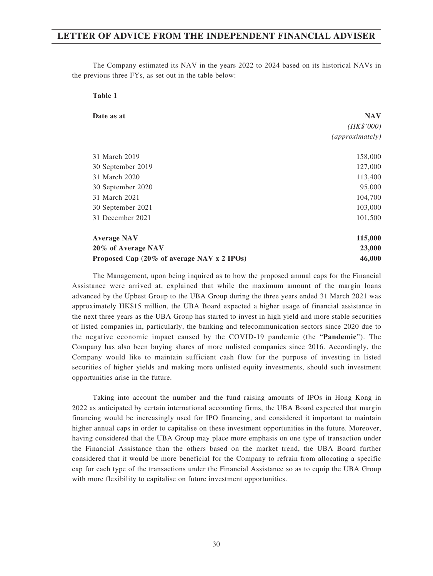**Table 1**

The Company estimated its NAV in the years 2022 to 2024 based on its historical NAVs in the previous three FYs, as set out in the table below:

| Date as at                                 | <b>NAV</b>      |
|--------------------------------------------|-----------------|
|                                            | (HK\$'000)      |
|                                            | (approximately) |
| 31 March 2019                              | 158,000         |
| 30 September 2019                          | 127,000         |
| 31 March 2020                              | 113,400         |
| 30 September 2020                          | 95,000          |
| 31 March 2021                              | 104,700         |
| 30 September 2021                          | 103,000         |
| 31 December 2021                           | 101,500         |
| <b>Average NAV</b>                         | 115,000         |
| 20% of Average NAV                         | 23,000          |
| Proposed Cap (20% of average NAV x 2 IPOs) | 46,000          |

The Management, upon being inquired as to how the proposed annual caps for the Financial Assistance were arrived at, explained that while the maximum amount of the margin loans advanced by the Upbest Group to the UBA Group during the three years ended 31 March 2021 was approximately HK\$15 million, the UBA Board expected a higher usage of financial assistance in the next three years as the UBA Group has started to invest in high yield and more stable securities of listed companies in, particularly, the banking and telecommunication sectors since 2020 due to the negative economic impact caused by the COVID-19 pandemic (the "**Pandemic**"). The Company has also been buying shares of more unlisted companies since 2016. Accordingly, the Company would like to maintain sufficient cash flow for the purpose of investing in listed securities of higher yields and making more unlisted equity investments, should such investment opportunities arise in the future.

Taking into account the number and the fund raising amounts of IPOs in Hong Kong in 2022 as anticipated by certain international accounting firms, the UBA Board expected that margin financing would be increasingly used for IPO financing, and considered it important to maintain higher annual caps in order to capitalise on these investment opportunities in the future. Moreover, having considered that the UBA Group may place more emphasis on one type of transaction under the Financial Assistance than the others based on the market trend, the UBA Board further considered that it would be more beneficial for the Company to refrain from allocating a specific cap for each type of the transactions under the Financial Assistance so as to equip the UBA Group with more flexibility to capitalise on future investment opportunities.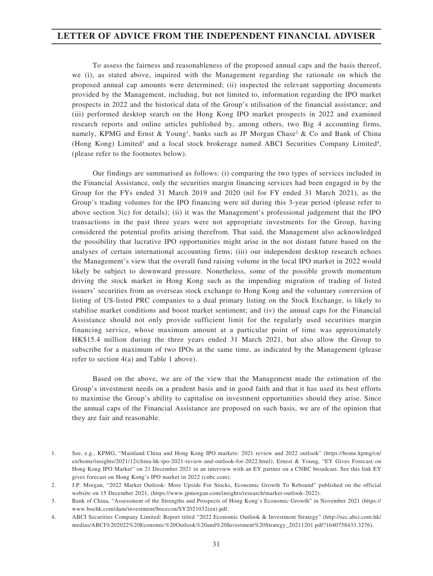To assess the fairness and reasonableness of the proposed annual caps and the basis thereof, we (i), as stated above, inquired with the Management regarding the rationale on which the proposed annual cap amounts were determined; (ii) inspected the relevant supporting documents provided by the Management, including, but not limited to, information regarding the IPO market prospects in 2022 and the historical data of the Group's utilisation of the financial assistance; and (iii) performed desktop search on the Hong Kong IPO market prospects in 2022 and examined research reports and online articles published by, among others, two Big 4 accounting firms, namely, KPMG and Ernst & Young<sup>1</sup>, banks such as JP Morgan Chase<sup>2</sup> & Co and Bank of China (Hong Kong) Limited<sup>3</sup> and a local stock brokerage named ABCI Securities Company Limited<sup>4</sup>, (please refer to the footnotes below).

Our findings are summarised as follows: (i) comparing the two types of services included in the Financial Assistance, only the securities margin financing services had been engaged in by the Group for the FYs ended 31 March 2019 and 2020 (nil for FY ended 31 March 2021), as the Group's trading volumes for the IPO financing were nil during this 3-year period (please refer to above section 3(c) for details); (ii) it was the Management's professional judgement that the IPO transactions in the past three years were not appropriate investments for the Group, having considered the potential profits arising therefrom. That said, the Management also acknowledged the possibility that lucrative IPO opportunities might arise in the not distant future based on the analyses of certain international accounting firms; (iii) our independent desktop research echoes the Management's view that the overall fund raising volume in the local IPO market in 2022 would likely be subject to downward pressure. Nonetheless, some of the possible growth momentum driving the stock market in Hong Kong such as the impending migration of trading of listed issuers' securities from an overseas stock exchange to Hong Kong and the voluntary conversion of listing of US-listed PRC companies to a dual primary listing on the Stock Exchange, is likely to stabilise market conditions and boost market sentiment; and (iv) the annual caps for the Financial Assistance should not only provide sufficient limit for the regularly used securities margin financing service, whose maximum amount at a particular point of time was approximately HK\$15.4 million during the three years ended 31 March 2021, but also allow the Group to subscribe for a maximum of two IPOs at the same time, as indicated by the Management (please refer to section 4(a) and Table 1 above).

Based on the above, we are of the view that the Management made the estimation of the Group's investment needs on a prudent basis and in good faith and that it has used its best efforts to maximise the Group's ability to capitalise on investment opportunities should they arise. Since the annual caps of the Financial Assistance are proposed on such basis, we are of the opinion that they are fair and reasonable.

<sup>1.</sup> See, e.g., KPMG, "Mainland China and Hong Kong IPO markets: 2021 review and 2022 outlook" (https://home.kpmg/cn/ en/home/insights/2021/12/china-hk-ipo-2021-review-and-outlook-for-2022.html); Ernest & Young, "EY Gives Forecast on Hong Kong IPO Market" on 21 December 2021 in an interview with an EY partner on a CNBC broadcast. See this link EY gives forecast on Hong Kong's IPO market in 2022 (cnbc.com).

<sup>2.</sup> J.P. Morgan, "2022 Market Outlook: More Upside For Stocks, Economic Growth To Rebound" published on the official website on 15 December 2021, (https://www.jpmorgan.com/insights/research/market-outlook-2022).

<sup>3.</sup> Bank of China, "Assessment of the Strengths and Prospects of Hong Kong's Economic Growth" in November 2021 (https:// www.bochk.com/dam/investment/bocecon/SY2021032(en).pdf.

<sup>4.</sup> ABCI Securities Company Limited: Report titled "2022 Economic Outlook & Investment Strategy" (http://sec.abci.com.hk/ medias/ABCI%202022%20Economic%20Outlook%20and%20Investment%20Strategy\_20211201.pdf?1640758433.3276).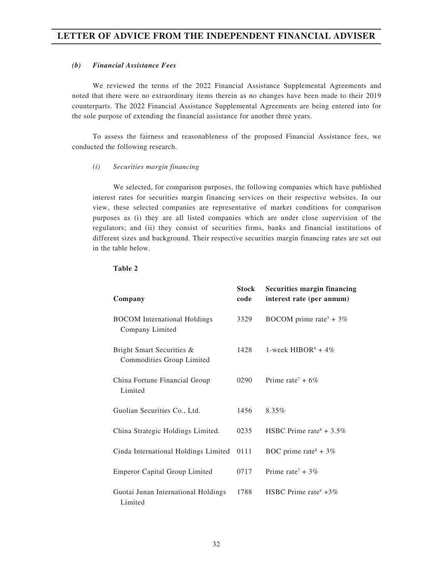### *(b) Financial Assistance Fees*

We reviewed the terms of the 2022 Financial Assistance Supplemental Agreements and noted that there were no extraordinary items therein as no changes have been made to their 2019 counterparts. The 2022 Financial Assistance Supplemental Agreements are being entered into for the sole purpose of extending the financial assistance for another three years.

To assess the fairness and reasonableness of the proposed Financial Assistance fees, we conducted the following research.

#### *(i) Securities margin financing*

We selected, for comparison purposes, the following companies which have published interest rates for securities margin financing services on their respective websites. In our view, these selected companies are representative of market conditions for comparison purposes as (i) they are all listed companies which are under close supervision of the regulators; and (ii) they consist of securities firms, banks and financial institutions of different sizes and background. Their respective securities margin financing rates are set out in the table below.

| Company                                                | <b>Stock</b><br>code | <b>Securities margin financing</b><br>interest rate (per annum) |
|--------------------------------------------------------|----------------------|-----------------------------------------------------------------|
| <b>BOCOM</b> International Holdings<br>Company Limited | 3329                 | BOCOM prime rate <sup>5</sup> + $3\%$                           |
| Bright Smart Securities &<br>Commodities Group Limited | 1428                 | 1-week HIBOR <sup>6</sup> + 4\%                                 |
| China Fortune Financial Group<br>Limited               | 0290                 | Prime rate <sup>7</sup> + $6\%$                                 |
| Guolian Securities Co., Ltd.                           | 1456                 | 8.35%                                                           |
| China Strategic Holdings Limited.                      | 0235                 | HSBC Prime rate <sup>8</sup> + 3.5%                             |
| Cinda International Holdings Limited                   | 0111                 | BOC prime rate <sup>8</sup> + 3%                                |
| <b>Emperor Capital Group Limited</b>                   | 0717                 | Prime rate <sup>7</sup> + 3%                                    |
| Guotai Junan International Holdings<br>Limited         | 1788                 | HSBC Prime rate <sup>8</sup> $+3\%$                             |

**Table 2**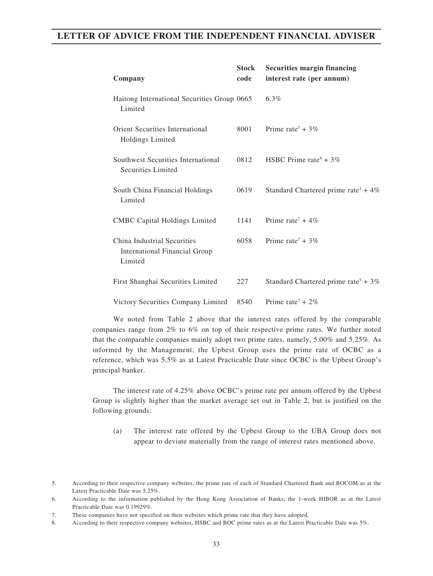| Company                                                                 | <b>Stock</b><br>code | <b>Securities margin financing</b><br>interest rate (per annum) |
|-------------------------------------------------------------------------|----------------------|-----------------------------------------------------------------|
| Haitong International Securities Group 0665<br>Limited                  |                      | $6.3\%$                                                         |
| Orient Securities International<br>Holdings Limited                     | 8001                 | Prime rate <sup>7</sup> + 3\%                                   |
| Southwest Securities International<br>Securities Limited                | 0812                 | HSBC Prime rate <sup>8</sup> + 3%                               |
| South China Financial Holdings<br>Limited                               | 0619                 | Standard Chartered prime rate <sup>5</sup> + 4%                 |
| <b>CMBC</b> Capital Holdings Limited                                    | 1141                 | Prime rate <sup>7</sup> + 4\%                                   |
| China Industrial Securities<br>International Financial Group<br>Limited | 6058                 | Prime rate <sup>7</sup> + 3%                                    |
| First Shanghai Securities Limited                                       | 227                  | Standard Chartered prime rate <sup>5</sup> + $3\%$              |
| Victory Securities Company Limited                                      | 8540                 | Prime rate <sup>7</sup> + 2\%                                   |

We noted from Table 2 above that the interest rates offered by the comparable companies range from 2% to 6% on top of their respective prime rates. We further noted that the comparable companies mainly adopt two prime rates, namely, 5.00% and 5.25%. As informed by the Management, the Upbest Group uses the prime rate of OCBC as a reference, which was 5.5% as at Latest Practicable Date since OCBC is the Upbest Group's principal banker.

The interest rate of 4.25% above OCBC's prime rate per annum offered by the Upbest Group is slightly higher than the market average set out in Table 2, but is justified on the following grounds:

(a) The interest rate offered by the Upbest Group to the UBA Group does not appear to deviate materially from the range of interest rates mentioned above.

<sup>5.</sup> According to their respective company websites, the prime rate of each of Standard Chartered Bank and BOCOM as at the Latest Practicable Date was 5.25%.

<sup>6.</sup> According to the information published by the Hong Kong Association of Banks, the 1-week HIBOR as at the Latest Practicable Date was 0.19929%.

<sup>7.</sup> These companies have not specified on their websites which prime rate that they have adopted.

<sup>8.</sup> According to their respective company websites, HSBC and BOC prime rates as at the Latest Practicable Date was 5%.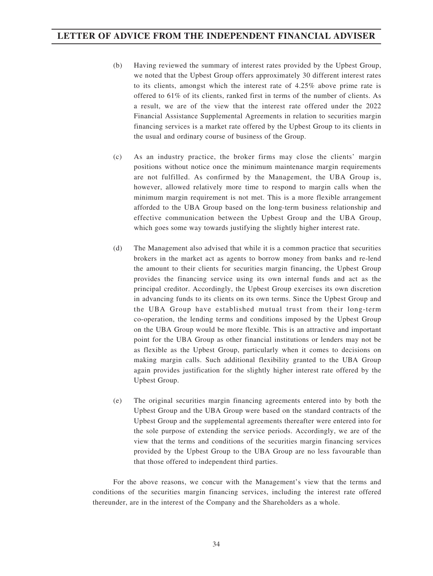- (b) Having reviewed the summary of interest rates provided by the Upbest Group, we noted that the Upbest Group offers approximately 30 different interest rates to its clients, amongst which the interest rate of 4.25% above prime rate is offered to 61% of its clients, ranked first in terms of the number of clients. As a result, we are of the view that the interest rate offered under the 2022 Financial Assistance Supplemental Agreements in relation to securities margin financing services is a market rate offered by the Upbest Group to its clients in the usual and ordinary course of business of the Group.
- (c) As an industry practice, the broker firms may close the clients' margin positions without notice once the minimum maintenance margin requirements are not fulfilled. As confirmed by the Management, the UBA Group is, however, allowed relatively more time to respond to margin calls when the minimum margin requirement is not met. This is a more flexible arrangement afforded to the UBA Group based on the long-term business relationship and effective communication between the Upbest Group and the UBA Group, which goes some way towards justifying the slightly higher interest rate.
- (d) The Management also advised that while it is a common practice that securities brokers in the market act as agents to borrow money from banks and re-lend the amount to their clients for securities margin financing, the Upbest Group provides the financing service using its own internal funds and act as the principal creditor. Accordingly, the Upbest Group exercises its own discretion in advancing funds to its clients on its own terms. Since the Upbest Group and the UBA Group have established mutual trust from their long-term co-operation, the lending terms and conditions imposed by the Upbest Group on the UBA Group would be more flexible. This is an attractive and important point for the UBA Group as other financial institutions or lenders may not be as flexible as the Upbest Group, particularly when it comes to decisions on making margin calls. Such additional flexibility granted to the UBA Group again provides justification for the slightly higher interest rate offered by the Upbest Group.
- (e) The original securities margin financing agreements entered into by both the Upbest Group and the UBA Group were based on the standard contracts of the Upbest Group and the supplemental agreements thereafter were entered into for the sole purpose of extending the service periods. Accordingly, we are of the view that the terms and conditions of the securities margin financing services provided by the Upbest Group to the UBA Group are no less favourable than that those offered to independent third parties.

For the above reasons, we concur with the Management's view that the terms and conditions of the securities margin financing services, including the interest rate offered thereunder, are in the interest of the Company and the Shareholders as a whole.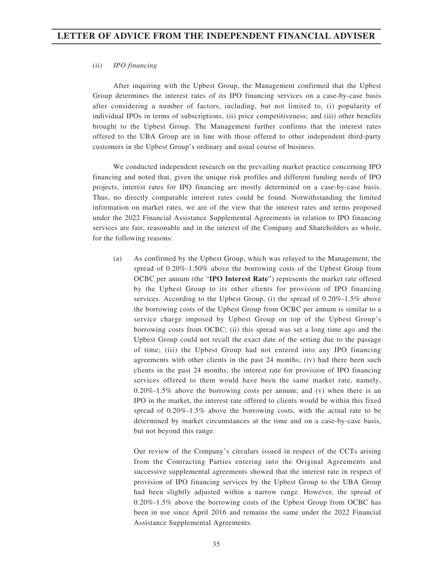#### *(ii) IPO financing*

After inquiring with the Upbest Group, the Management confirmed that the Upbest Group determines the interest rates of its IPO financing services on a case-by-case basis after considering a number of factors, including, but not limited to, (i) popularity of individual IPOs in terms of subscriptions, (ii) price competitiveness; and (iii) other benefits brought to the Upbest Group. The Management further confirms that the interest rates offered to the UBA Group are in line with those offered to other independent third-party customers in the Upbest Group's ordinary and usual course of business.

We conducted independent research on the prevailing market practice concerning IPO financing and noted that, given the unique risk profiles and different funding needs of IPO projects, interest rates for IPO financing are mostly determined on a case-by-case basis. Thus, no directly comparable interest rates could be found. Notwithstanding the limited information on market rates, we are of the view that the interest rates and terms proposed under the 2022 Financial Assistance Supplemental Agreements in relation to IPO financing services are fair, reasonable and in the interest of the Company and Shareholders as whole, for the following reasons:

(a) As confirmed by the Upbest Group, which was relayed to the Management, the spread of 0.20%-1.50% above the borrowing costs of the Upbest Group from OCBC per annum (the "**IPO Interest Rate**") represents the market rate offered by the Upbest Group to its other clients for provision of IPO financing services. According to the Upbest Group, (i) the spread of 0.20%-1.5% above the borrowing costs of the Upbest Group from OCBC per annum is similar to a service charge imposed by Upbest Group on top of the Upbest Group's borrowing costs from OCBC; (ii) this spread was set a long time ago and the Upbest Group could not recall the exact date of the setting due to the passage of time; (iii) the Upbest Group had not entered into any IPO financing agreements with other clients in the past 24 months; (iv) had there been such clients in the past 24 months, the interest rate for provision of IPO financing services offered to them would have been the same market rate, namely, 0.20%-1.5% above the borrowing costs per annum; and (v) when there is an IPO in the market, the interest rate offered to clients would be within this fixed spread of 0.20%-1.5% above the borrowing costs, with the actual rate to be determined by market circumstances at the time and on a case-by-case basis, but not beyond this range.

Our review of the Company's circulars issued in respect of the CCTs arising from the Contracting Parties entering into the Original Agreements and successive supplemental agreements showed that the interest rate in respect of provision of IPO financing services by the Upbest Group to the UBA Group had been slightly adjusted within a narrow range. However, the spread of 0.20%-1.5% above the borrowing costs of the Upbest Group from OCBC has been in use since April 2016 and remains the same under the 2022 Financial Assistance Supplemental Agreements.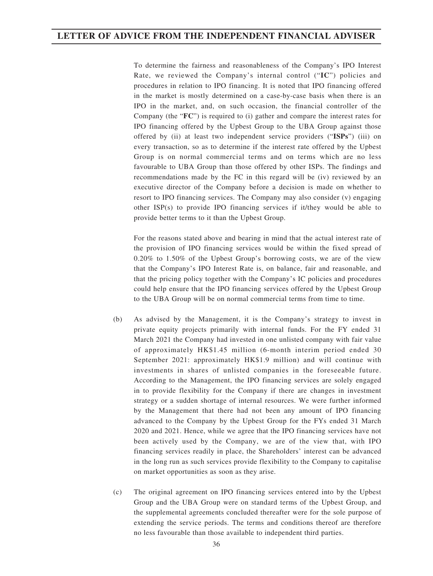To determine the fairness and reasonableness of the Company's IPO Interest Rate, we reviewed the Company's internal control ("**IC**") policies and procedures in relation to IPO financing. It is noted that IPO financing offered in the market is mostly determined on a case-by-case basis when there is an IPO in the market, and, on such occasion, the financial controller of the Company (the "**FC**") is required to (i) gather and compare the interest rates for IPO financing offered by the Upbest Group to the UBA Group against those offered by (ii) at least two independent service providers ("**ISPs**") (iii) on every transaction, so as to determine if the interest rate offered by the Upbest Group is on normal commercial terms and on terms which are no less favourable to UBA Group than those offered by other ISPs. The findings and recommendations made by the FC in this regard will be (iv) reviewed by an executive director of the Company before a decision is made on whether to resort to IPO financing services. The Company may also consider (v) engaging other ISP(s) to provide IPO financing services if it/they would be able to provide better terms to it than the Upbest Group.

For the reasons stated above and bearing in mind that the actual interest rate of the provision of IPO financing services would be within the fixed spread of 0.20% to 1.50% of the Upbest Group's borrowing costs, we are of the view that the Company's IPO Interest Rate is, on balance, fair and reasonable, and that the pricing policy together with the Company's IC policies and procedures could help ensure that the IPO financing services offered by the Upbest Group to the UBA Group will be on normal commercial terms from time to time.

- (b) As advised by the Management, it is the Company's strategy to invest in private equity projects primarily with internal funds. For the FY ended 31 March 2021 the Company had invested in one unlisted company with fair value of approximately HK\$1.45 million (6-month interim period ended 30 September 2021: approximately HK\$1.9 million) and will continue with investments in shares of unlisted companies in the foreseeable future. According to the Management, the IPO financing services are solely engaged in to provide flexibility for the Company if there are changes in investment strategy or a sudden shortage of internal resources. We were further informed by the Management that there had not been any amount of IPO financing advanced to the Company by the Upbest Group for the FYs ended 31 March 2020 and 2021. Hence, while we agree that the IPO financing services have not been actively used by the Company, we are of the view that, with IPO financing services readily in place, the Shareholders' interest can be advanced in the long run as such services provide flexibility to the Company to capitalise on market opportunities as soon as they arise.
- (c) The original agreement on IPO financing services entered into by the Upbest Group and the UBA Group were on standard terms of the Upbest Group, and the supplemental agreements concluded thereafter were for the sole purpose of extending the service periods. The terms and conditions thereof are therefore no less favourable than those available to independent third parties.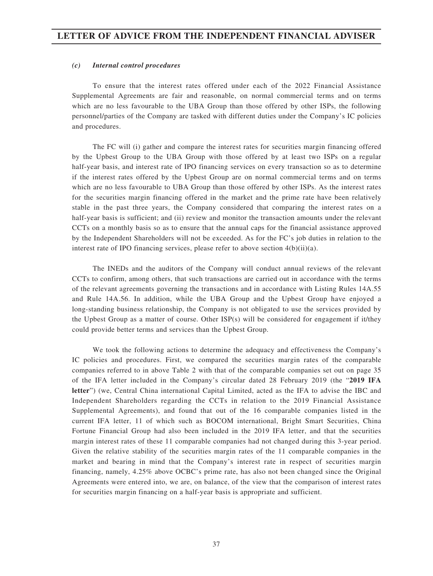#### *(c) Internal control procedures*

To ensure that the interest rates offered under each of the 2022 Financial Assistance Supplemental Agreements are fair and reasonable, on normal commercial terms and on terms which are no less favourable to the UBA Group than those offered by other ISPs, the following personnel/parties of the Company are tasked with different duties under the Company's IC policies and procedures.

The FC will (i) gather and compare the interest rates for securities margin financing offered by the Upbest Group to the UBA Group with those offered by at least two ISPs on a regular half-year basis, and interest rate of IPO financing services on every transaction so as to determine if the interest rates offered by the Upbest Group are on normal commercial terms and on terms which are no less favourable to UBA Group than those offered by other ISPs. As the interest rates for the securities margin financing offered in the market and the prime rate have been relatively stable in the past three years, the Company considered that comparing the interest rates on a half-year basis is sufficient; and (ii) review and monitor the transaction amounts under the relevant CCTs on a monthly basis so as to ensure that the annual caps for the financial assistance approved by the Independent Shareholders will not be exceeded. As for the FC's job duties in relation to the interest rate of IPO financing services, please refer to above section 4(b)(ii)(a).

The INEDs and the auditors of the Company will conduct annual reviews of the relevant CCTs to confirm, among others, that such transactions are carried out in accordance with the terms of the relevant agreements governing the transactions and in accordance with Listing Rules 14A.55 and Rule 14A.56. In addition, while the UBA Group and the Upbest Group have enjoyed a long-standing business relationship, the Company is not obligated to use the services provided by the Upbest Group as a matter of course. Other ISP(s) will be considered for engagement if it/they could provide better terms and services than the Upbest Group.

We took the following actions to determine the adequacy and effectiveness the Company's IC policies and procedures. First, we compared the securities margin rates of the comparable companies referred to in above Table 2 with that of the comparable companies set out on page 35 of the IFA letter included in the Company's circular dated 28 February 2019 (the "**2019 IFA letter**") (we, Central China international Capital Limited, acted as the IFA to advise the IBC and Independent Shareholders regarding the CCTs in relation to the 2019 Financial Assistance Supplemental Agreements), and found that out of the 16 comparable companies listed in the current IFA letter, 11 of which such as BOCOM international, Bright Smart Securities, China Fortune Financial Group had also been included in the 2019 IFA letter, and that the securities margin interest rates of these 11 comparable companies had not changed during this 3-year period. Given the relative stability of the securities margin rates of the 11 comparable companies in the market and bearing in mind that the Company's interest rate in respect of securities margin financing, namely, 4.25% above OCBC's prime rate, has also not been changed since the Original Agreements were entered into, we are, on balance, of the view that the comparison of interest rates for securities margin financing on a half-year basis is appropriate and sufficient.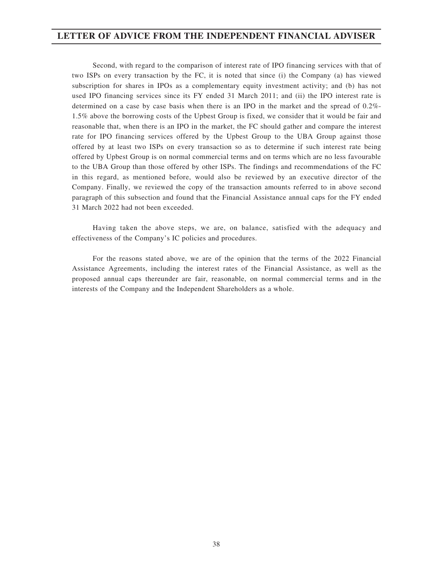Second, with regard to the comparison of interest rate of IPO financing services with that of two ISPs on every transaction by the FC, it is noted that since (i) the Company (a) has viewed subscription for shares in IPOs as a complementary equity investment activity; and (b) has not used IPO financing services since its FY ended 31 March 2011; and (ii) the IPO interest rate is determined on a case by case basis when there is an IPO in the market and the spread of 0.2%- 1.5% above the borrowing costs of the Upbest Group is fixed, we consider that it would be fair and reasonable that, when there is an IPO in the market, the FC should gather and compare the interest rate for IPO financing services offered by the Upbest Group to the UBA Group against those offered by at least two ISPs on every transaction so as to determine if such interest rate being offered by Upbest Group is on normal commercial terms and on terms which are no less favourable to the UBA Group than those offered by other ISPs. The findings and recommendations of the FC in this regard, as mentioned before, would also be reviewed by an executive director of the Company. Finally, we reviewed the copy of the transaction amounts referred to in above second paragraph of this subsection and found that the Financial Assistance annual caps for the FY ended 31 March 2022 had not been exceeded.

Having taken the above steps, we are, on balance, satisfied with the adequacy and effectiveness of the Company's IC policies and procedures.

For the reasons stated above, we are of the opinion that the terms of the 2022 Financial Assistance Agreements, including the interest rates of the Financial Assistance, as well as the proposed annual caps thereunder are fair, reasonable, on normal commercial terms and in the interests of the Company and the Independent Shareholders as a whole.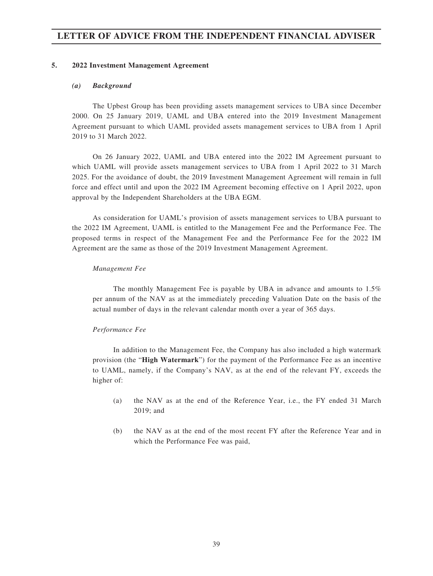#### **5. 2022 Investment Management Agreement**

#### *(a) Background*

The Upbest Group has been providing assets management services to UBA since December 2000. On 25 January 2019, UAML and UBA entered into the 2019 Investment Management Agreement pursuant to which UAML provided assets management services to UBA from 1 April 2019 to 31 March 2022.

On 26 January 2022, UAML and UBA entered into the 2022 IM Agreement pursuant to which UAML will provide assets management services to UBA from 1 April 2022 to 31 March 2025. For the avoidance of doubt, the 2019 Investment Management Agreement will remain in full force and effect until and upon the 2022 IM Agreement becoming effective on 1 April 2022, upon approval by the Independent Shareholders at the UBA EGM.

As consideration for UAML's provision of assets management services to UBA pursuant to the 2022 IM Agreement, UAML is entitled to the Management Fee and the Performance Fee. The proposed terms in respect of the Management Fee and the Performance Fee for the 2022 IM Agreement are the same as those of the 2019 Investment Management Agreement.

#### *Management Fee*

The monthly Management Fee is payable by UBA in advance and amounts to 1.5% per annum of the NAV as at the immediately preceding Valuation Date on the basis of the actual number of days in the relevant calendar month over a year of 365 days.

#### *Performance Fee*

In addition to the Management Fee, the Company has also included a high watermark provision (the "**High Watermark**") for the payment of the Performance Fee as an incentive to UAML, namely, if the Company's NAV, as at the end of the relevant FY, exceeds the higher of:

- (a) the NAV as at the end of the Reference Year, i.e., the FY ended 31 March 2019; and
- (b) the NAV as at the end of the most recent FY after the Reference Year and in which the Performance Fee was paid,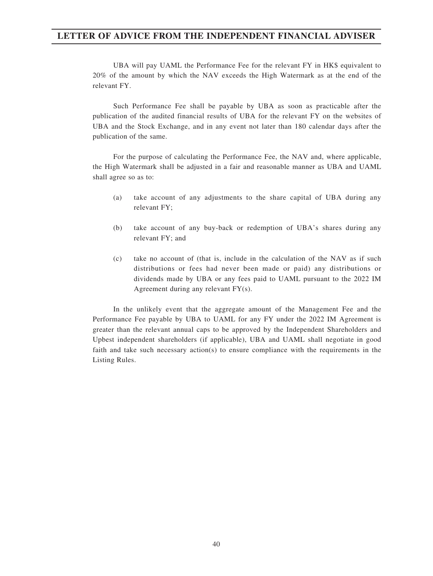UBA will pay UAML the Performance Fee for the relevant FY in HK\$ equivalent to 20% of the amount by which the NAV exceeds the High Watermark as at the end of the relevant FY.

Such Performance Fee shall be payable by UBA as soon as practicable after the publication of the audited financial results of UBA for the relevant FY on the websites of UBA and the Stock Exchange, and in any event not later than 180 calendar days after the publication of the same.

For the purpose of calculating the Performance Fee, the NAV and, where applicable, the High Watermark shall be adjusted in a fair and reasonable manner as UBA and UAML shall agree so as to:

- (a) take account of any adjustments to the share capital of UBA during any relevant FY;
- (b) take account of any buy-back or redemption of UBA's shares during any relevant FY; and
- (c) take no account of (that is, include in the calculation of the NAV as if such distributions or fees had never been made or paid) any distributions or dividends made by UBA or any fees paid to UAML pursuant to the 2022 IM Agreement during any relevant FY(s).

In the unlikely event that the aggregate amount of the Management Fee and the Performance Fee payable by UBA to UAML for any FY under the 2022 IM Agreement is greater than the relevant annual caps to be approved by the Independent Shareholders and Upbest independent shareholders (if applicable), UBA and UAML shall negotiate in good faith and take such necessary action(s) to ensure compliance with the requirements in the Listing Rules.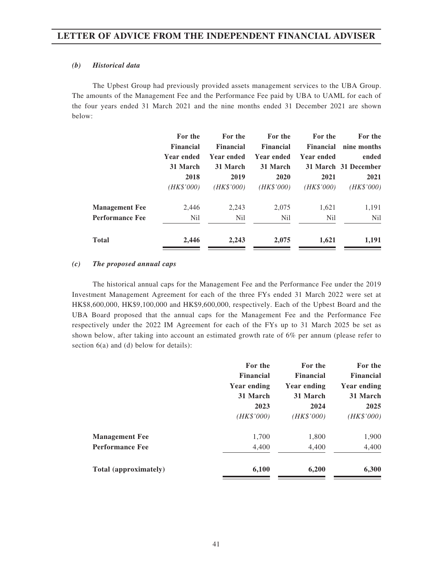#### *(b) Historical data*

The Upbest Group had previously provided assets management services to the UBA Group. The amounts of the Management Fee and the Performance Fee paid by UBA to UAML for each of the four years ended 31 March 2021 and the nine months ended 31 December 2021 are shown below:

|                                                 | For the<br><b>Financial</b><br><b>Year ended</b><br>31 March<br>2018 | For the<br><b>Financial</b><br><b>Year ended</b><br>31 March<br>2019 | For the<br><b>Financial</b><br><b>Year ended</b><br>31 March<br>2020 | For the<br><b>Financial</b><br>Year ended<br>2021 | For the<br>nine months<br>ended<br>31 March 31 December<br>2021 |
|-------------------------------------------------|----------------------------------------------------------------------|----------------------------------------------------------------------|----------------------------------------------------------------------|---------------------------------------------------|-----------------------------------------------------------------|
|                                                 | (HK\$'000)                                                           | ( <i>HK\$'000</i> )                                                  | (HK\$'000)                                                           | (HK\$'000)                                        | (HK\$'000)                                                      |
| <b>Management Fee</b><br><b>Performance Fee</b> | 2,446<br>N <sub>il</sub>                                             | 2,243<br>N <sub>il</sub>                                             | 2,075<br>N <sub>il</sub>                                             | 1,621<br>Nil                                      | 1,191<br><b>Nil</b>                                             |
| <b>Total</b>                                    | 2,446                                                                | 2,243                                                                | 2,075                                                                | 1,621                                             | 1,191                                                           |

#### *(c) The proposed annual caps*

The historical annual caps for the Management Fee and the Performance Fee under the 2019 Investment Management Agreement for each of the three FYs ended 31 March 2022 were set at HK\$8,600,000, HK\$9,100,000 and HK\$9,600,000, respectively. Each of the Upbest Board and the UBA Board proposed that the annual caps for the Management Fee and the Performance Fee respectively under the 2022 IM Agreement for each of the FYs up to 31 March 2025 be set as shown below, after taking into account an estimated growth rate of 6% per annum (please refer to section 6(a) and (d) below for details):

|                        | For the            | For the          | For the            |
|------------------------|--------------------|------------------|--------------------|
|                        | <b>Financial</b>   | <b>Financial</b> | <b>Financial</b>   |
|                        | <b>Year ending</b> | Year ending      | <b>Year ending</b> |
|                        | 31 March           | 31 March         | 31 March           |
|                        | 2023               | 2024             | 2025               |
|                        | (HK\$'000)         | (HK\$'000)       | (HK\$'000)         |
| <b>Management Fee</b>  | 1,700              | 1,800            | 1,900              |
| <b>Performance Fee</b> | 4,400              | 4,400            | 4,400              |
| Total (approximately)  | 6,100              | 6,200            | 6,300              |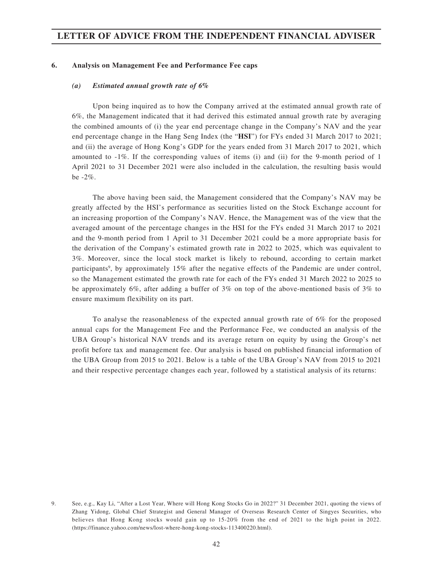#### **6. Analysis on Management Fee and Performance Fee caps**

#### *(a) Estimated annual growth rate of 6%*

Upon being inquired as to how the Company arrived at the estimated annual growth rate of 6%, the Management indicated that it had derived this estimated annual growth rate by averaging the combined amounts of (i) the year end percentage change in the Company's NAV and the year end percentage change in the Hang Seng Index (the "**HSI**") for FYs ended 31 March 2017 to 2021; and (ii) the average of Hong Kong's GDP for the years ended from 31 March 2017 to 2021, which amounted to -1%. If the corresponding values of items (i) and (ii) for the 9-month period of 1 April 2021 to 31 December 2021 were also included in the calculation, the resulting basis would be -2%.

The above having been said, the Management considered that the Company's NAV may be greatly affected by the HSI's performance as securities listed on the Stock Exchange account for an increasing proportion of the Company's NAV. Hence, the Management was of the view that the averaged amount of the percentage changes in the HSI for the FYs ended 31 March 2017 to 2021 and the 9-month period from 1 April to 31 December 2021 could be a more appropriate basis for the derivation of the Company's estimated growth rate in 2022 to 2025, which was equivalent to 3%. Moreover, since the local stock market is likely to rebound, according to certain market participants<sup>9</sup>, by approximately 15% after the negative effects of the Pandemic are under control, so the Management estimated the growth rate for each of the FYs ended 31 March 2022 to 2025 to be approximately 6%, after adding a buffer of 3% on top of the above-mentioned basis of 3% to ensure maximum flexibility on its part.

To analyse the reasonableness of the expected annual growth rate of 6% for the proposed annual caps for the Management Fee and the Performance Fee, we conducted an analysis of the UBA Group's historical NAV trends and its average return on equity by using the Group's net profit before tax and management fee. Our analysis is based on published financial information of the UBA Group from 2015 to 2021. Below is a table of the UBA Group's NAV from 2015 to 2021 and their respective percentage changes each year, followed by a statistical analysis of its returns:

<sup>9.</sup> See, e.g., Kay Li, "After a Lost Year, Where will Hong Kong Stocks Go in 2022?" 31 December 2021, quoting the views of Zhang Yidong, Global Chief Strategist and General Manager of Overseas Research Center of Singyes Securities, who believes that Hong Kong stocks would gain up to 15-20% from the end of 2021 to the high point in 2022. (https://finance.yahoo.com/news/lost-where-hong-kong-stocks-113400220.html).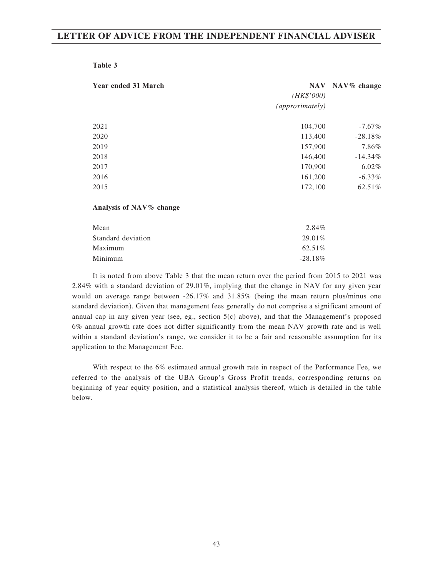| <b>Year ended 31 March</b> | (HK\$'000)<br>(approximately) | NAV NAV% change |
|----------------------------|-------------------------------|-----------------|
| 2021                       | 104,700                       | $-7.67\%$       |
| 2020                       | 113,400                       | $-28.18%$       |
| 2019                       | 157,900                       | 7.86%           |
| 2018                       | 146,400                       | $-14.34\%$      |
| 2017                       | 170,900                       | $6.02\%$        |
| 2016                       | 161,200                       | $-6.33\%$       |
| 2015                       | 172,100                       | 62.51%          |
| Analysis of NAV% change    |                               |                 |
| Mean                       | 2.84%                         |                 |
| Standard deviation         | 29.01%                        |                 |

It is noted from above Table 3 that the mean return over the period from 2015 to 2021 was 2.84% with a standard deviation of 29.01%, implying that the change in NAV for any given year would on average range between -26.17% and 31.85% (being the mean return plus/minus one standard deviation). Given that management fees generally do not comprise a significant amount of annual cap in any given year (see, eg., section 5(c) above), and that the Management's proposed 6% annual growth rate does not differ significantly from the mean NAV growth rate and is well within a standard deviation's range, we consider it to be a fair and reasonable assumption for its application to the Management Fee.

 $Maximum \t\t 62.51\%$ Minimum -28.18%

With respect to the 6% estimated annual growth rate in respect of the Performance Fee, we referred to the analysis of the UBA Group's Gross Profit trends, corresponding returns on beginning of year equity position, and a statistical analysis thereof, which is detailed in the table below.

#### **Table 3**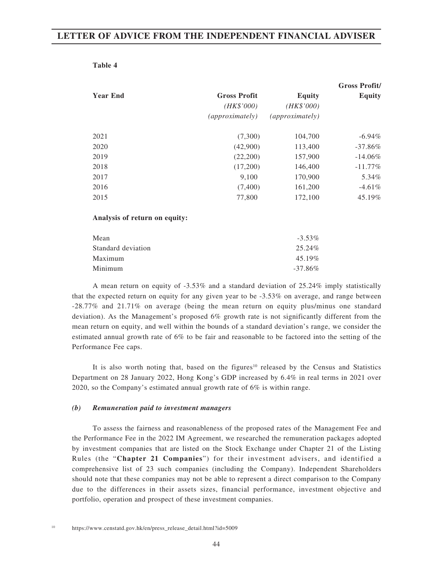#### **Table 4**

|                 |                     |                 | <b>Gross Profit/</b> |
|-----------------|---------------------|-----------------|----------------------|
| <b>Year End</b> | <b>Gross Profit</b> | Equity          | <b>Equity</b>        |
|                 | (HK\$'000)          | (HK\$'000)      |                      |
|                 | (approximately)     | (approximately) |                      |
| 2021            | (7,300)             | 104,700         | $-6.94\%$            |
| 2020            | (42,900)            | 113,400         | $-37.86\%$           |
| 2019            | (22,200)            | 157,900         | $-14.06\%$           |
| 2018            | (17,200)            | 146,400         | $-11.77\%$           |
| 2017            | 9,100               | 170,900         | 5.34%                |
| 2016            | (7,400)             | 161,200         | $-4.61\%$            |
| 2015            | 77,800              | 172,100         | 45.19%               |

#### **Analysis of return on equity:**

| Mean               | $-3.53\%$  |
|--------------------|------------|
| Standard deviation | 25.24%     |
| Maximum            | $45.19\%$  |
| Minimum            | $-37.86\%$ |

A mean return on equity of -3.53% and a standard deviation of 25.24% imply statistically that the expected return on equity for any given year to be -3.53% on average, and range between -28.77% and 21.71% on average (being the mean return on equity plus/minus one standard deviation). As the Management's proposed 6% growth rate is not significantly different from the mean return on equity, and well within the bounds of a standard deviation's range, we consider the estimated annual growth rate of 6% to be fair and reasonable to be factored into the setting of the Performance Fee caps.

It is also worth noting that, based on the figures<sup>10</sup> released by the Census and Statistics Department on 28 January 2022, Hong Kong's GDP increased by 6.4% in real terms in 2021 over 2020, so the Company's estimated annual growth rate of 6% is within range.

#### *(b) Remuneration paid to investment managers*

To assess the fairness and reasonableness of the proposed rates of the Management Fee and the Performance Fee in the 2022 IM Agreement, we researched the remuneration packages adopted by investment companies that are listed on the Stock Exchange under Chapter 21 of the Listing Rules (the "**Chapter 21 Companies**") for their investment advisers, and identified a comprehensive list of 23 such companies (including the Company). Independent Shareholders should note that these companies may not be able to represent a direct comparison to the Company due to the differences in their assets sizes, financial performance, investment objective and portfolio, operation and prospect of these investment companies.

<sup>10</sup> https://www.censtatd.gov.hk/en/press\_release\_detail.html?id=5009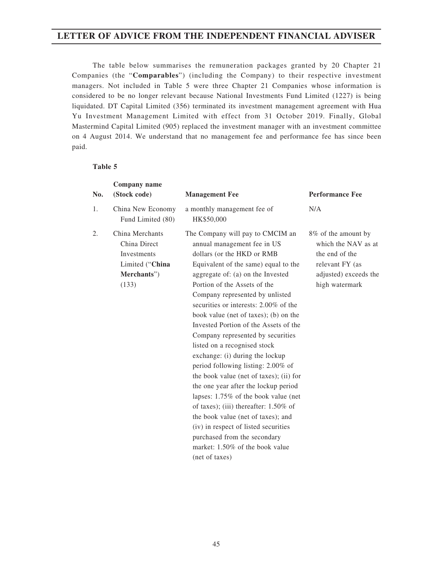The table below summarises the remuneration packages granted by 20 Chapter 21 Companies (the "**Comparables**") (including the Company) to their respective investment managers. Not included in Table 5 were three Chapter 21 Companies whose information is considered to be no longer relevant because National Investments Fund Limited (1227) is being liquidated. DT Capital Limited (356) terminated its investment management agreement with Hua Yu Investment Management Limited with effect from 31 October 2019. Finally, Global Mastermind Capital Limited (905) replaced the investment manager with an investment committee on 4 August 2014. We understand that no management fee and performance fee has since been paid.

#### **Table 5**

| No. | Company name<br>(Stock code)                                                                     | <b>Management Fee</b>                                                                                                                                                                                                                                                                                                                                                                                                                                                                                                                                                                                                                                                                                                                                                                                                                                            | <b>Performance Fee</b>                                                                                                     |
|-----|--------------------------------------------------------------------------------------------------|------------------------------------------------------------------------------------------------------------------------------------------------------------------------------------------------------------------------------------------------------------------------------------------------------------------------------------------------------------------------------------------------------------------------------------------------------------------------------------------------------------------------------------------------------------------------------------------------------------------------------------------------------------------------------------------------------------------------------------------------------------------------------------------------------------------------------------------------------------------|----------------------------------------------------------------------------------------------------------------------------|
| 1.  | China New Economy<br>Fund Limited (80)                                                           | a monthly management fee of<br>HK\$50,000                                                                                                                                                                                                                                                                                                                                                                                                                                                                                                                                                                                                                                                                                                                                                                                                                        | N/A                                                                                                                        |
| 2.  | China Merchants<br>China Direct<br><b>Investments</b><br>Limited ("China<br>Merchants")<br>(133) | The Company will pay to CMCIM an<br>annual management fee in US<br>dollars (or the HKD or RMB<br>Equivalent of the same) equal to the<br>aggregate of: (a) on the Invested<br>Portion of the Assets of the<br>Company represented by unlisted<br>securities or interests: 2.00% of the<br>book value (net of taxes); (b) on the<br>Invested Portion of the Assets of the<br>Company represented by securities<br>listed on a recognised stock<br>exchange: (i) during the lockup<br>period following listing: 2.00% of<br>the book value (net of taxes); (ii) for<br>the one year after the lockup period<br>lapses: 1.75% of the book value (net<br>of taxes); (iii) thereafter: $1.50\%$ of<br>the book value (net of taxes); and<br>(iv) in respect of listed securities<br>purchased from the secondary<br>market: 1.50% of the book value<br>(net of taxes) | 8% of the amount by<br>which the NAV as at<br>the end of the<br>relevant FY (as<br>adjusted) exceeds the<br>high watermark |
|     |                                                                                                  |                                                                                                                                                                                                                                                                                                                                                                                                                                                                                                                                                                                                                                                                                                                                                                                                                                                                  |                                                                                                                            |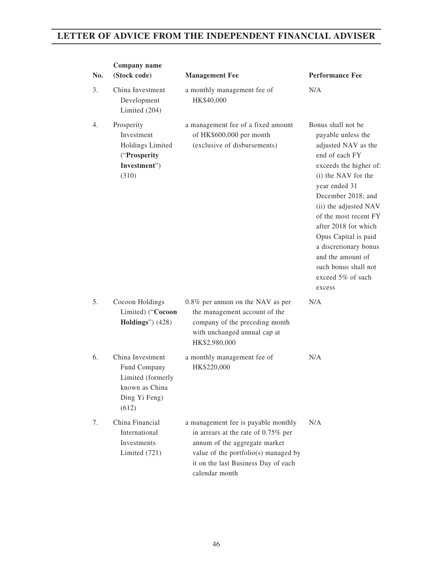| No. | Company name<br>(Stock code)                                                                      | <b>Management Fee</b>                                                                                                                                                                                        | <b>Performance Fee</b>                                                                                                                                                                                                                                                                                                                                                            |  |
|-----|---------------------------------------------------------------------------------------------------|--------------------------------------------------------------------------------------------------------------------------------------------------------------------------------------------------------------|-----------------------------------------------------------------------------------------------------------------------------------------------------------------------------------------------------------------------------------------------------------------------------------------------------------------------------------------------------------------------------------|--|
| 3.  | China Investment<br>Development<br>Limited (204)                                                  | a monthly management fee of<br>HK\$40,000                                                                                                                                                                    | N/A                                                                                                                                                                                                                                                                                                                                                                               |  |
| 4.  | Prosperity<br>Investment<br>Holdings Limited<br>("Prosperity<br>Investment")<br>(310)             | a management fee of a fixed amount<br>of HK\$600,000 per month<br>(exclusive of disbursements)                                                                                                               | Bonus shall not be.<br>payable unless the<br>adjusted NAV as the<br>end of each FY<br>exceeds the higher of:<br>(i) the NAV for the<br>year ended 31<br>December 2018; and<br>(ii) the adjusted NAV<br>of the most recent FY<br>after 2018 for which<br>Opus Capital is paid<br>a discretionary bonus<br>and the amount of<br>such bonus shall not<br>exceed 5% of such<br>excess |  |
| 5.  | Cocoon Holdings<br>Limited) ("Cocoon<br><b>Holdings</b> ") (428)                                  | 0.8% per annum on the NAV as per<br>the management account of the<br>company of the preceding month<br>with unchanged annual cap at<br>HK\$2,980,000                                                         | N/A                                                                                                                                                                                                                                                                                                                                                                               |  |
| 6.  | China Investment<br>Fund Company<br>Limited (formerly<br>known as China<br>Ding Yi Feng)<br>(612) | a monthly management fee of<br>HK\$220,000                                                                                                                                                                   | N/A                                                                                                                                                                                                                                                                                                                                                                               |  |
| 7.  | China Financial<br>International<br>Investments<br>Limited (721)                                  | a management fee is payable monthly<br>in arrears at the rate of 0.75% per<br>annum of the aggregate market<br>value of the portfolio(s) managed by<br>it on the last Business Day of each<br>calendar month | N/A                                                                                                                                                                                                                                                                                                                                                                               |  |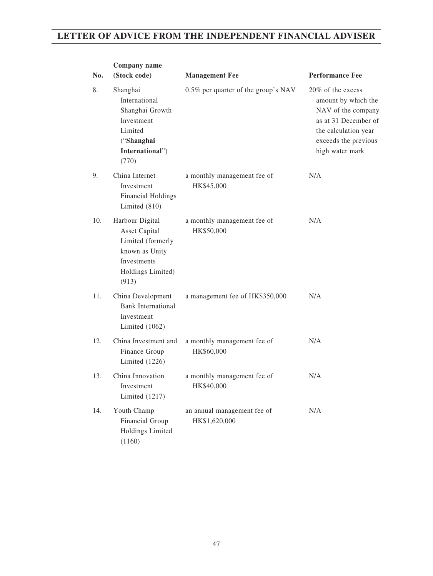| No. | Company name<br>(Stock code)                                                                                                | <b>Management Fee</b>                        | <b>Performance Fee</b>                                                                                                                                    |
|-----|-----------------------------------------------------------------------------------------------------------------------------|----------------------------------------------|-----------------------------------------------------------------------------------------------------------------------------------------------------------|
| 8.  | Shanghai<br>International<br>Shanghai Growth<br>Investment<br>Limited<br>("Shanghai<br>International")<br>(770)             | 0.5% per quarter of the group's NAV          | 20% of the excess<br>amount by which the<br>NAV of the company<br>as at 31 December of<br>the calculation year<br>exceeds the previous<br>high water mark |
| 9.  | China Internet<br>Investment<br><b>Financial Holdings</b><br>Limited $(810)$                                                | a monthly management fee of<br>HK\$45,000    | N/A                                                                                                                                                       |
| 10. | Harbour Digital<br><b>Asset Capital</b><br>Limited (formerly<br>known as Unity<br>Investments<br>Holdings Limited)<br>(913) | a monthly management fee of<br>HK\$50,000    | N/A                                                                                                                                                       |
| 11. | China Development<br><b>Bank International</b><br>Investment<br>Limited $(1062)$                                            | a management fee of HK\$350,000              | N/A                                                                                                                                                       |
| 12. | China Investment and<br>Finance Group<br>Limited $(1226)$                                                                   | a monthly management fee of<br>HK\$60,000    | N/A                                                                                                                                                       |
| 13. | China Innovation<br>Investment<br>Limited $(1217)$                                                                          | a monthly management fee of<br>HK\$40,000    | N/A                                                                                                                                                       |
| 14. | Youth Champ<br>Financial Group<br>Holdings Limited<br>(1160)                                                                | an annual management fee of<br>HK\$1,620,000 | N/A                                                                                                                                                       |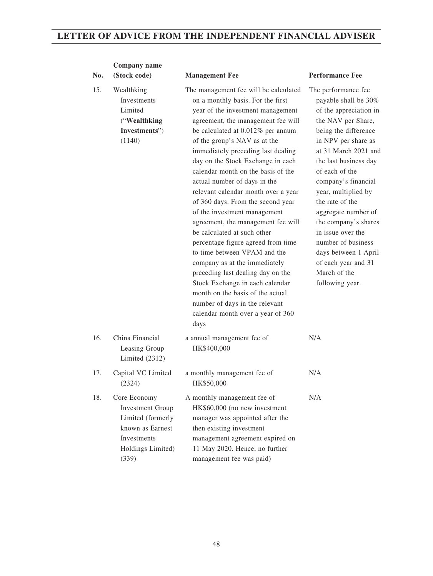| No. | Company name<br>(Stock code)                                                                                                         | <b>Management Fee</b>                                                                                                                                                                                                                                                                                                                                                                                                                                                                                                                                                                                                                                                                                                                                                                                                                                          | <b>Performance Fee</b>                                                                                                                                                                                                                                                                                                                                                                                                                                     |
|-----|--------------------------------------------------------------------------------------------------------------------------------------|----------------------------------------------------------------------------------------------------------------------------------------------------------------------------------------------------------------------------------------------------------------------------------------------------------------------------------------------------------------------------------------------------------------------------------------------------------------------------------------------------------------------------------------------------------------------------------------------------------------------------------------------------------------------------------------------------------------------------------------------------------------------------------------------------------------------------------------------------------------|------------------------------------------------------------------------------------------------------------------------------------------------------------------------------------------------------------------------------------------------------------------------------------------------------------------------------------------------------------------------------------------------------------------------------------------------------------|
| 15. | Wealthking<br><b>Investments</b><br>Limited<br>("Wealthking<br>Investments")<br>(1140)                                               | The management fee will be calculated<br>on a monthly basis. For the first<br>year of the investment management<br>agreement, the management fee will<br>be calculated at 0.012% per annum<br>of the group's NAV as at the<br>immediately preceding last dealing<br>day on the Stock Exchange in each<br>calendar month on the basis of the<br>actual number of days in the<br>relevant calendar month over a year<br>of 360 days. From the second year<br>of the investment management<br>agreement, the management fee will<br>be calculated at such other<br>percentage figure agreed from time<br>to time between VPAM and the<br>company as at the immediately<br>preceding last dealing day on the<br>Stock Exchange in each calendar<br>month on the basis of the actual<br>number of days in the relevant<br>calendar month over a year of 360<br>days | The performance fee<br>payable shall be 30%<br>of the appreciation in<br>the NAV per Share,<br>being the difference<br>in NPV per share as<br>at 31 March 2021 and<br>the last business day<br>of each of the<br>company's financial<br>year, multiplied by<br>the rate of the<br>aggregate number of<br>the company's shares<br>in issue over the<br>number of business<br>days between 1 April<br>of each year and 31<br>March of the<br>following year. |
| 16. | China Financial<br>Leasing Group<br>Limited $(2312)$                                                                                 | a annual management fee of<br>HK\$400,000                                                                                                                                                                                                                                                                                                                                                                                                                                                                                                                                                                                                                                                                                                                                                                                                                      | N/A                                                                                                                                                                                                                                                                                                                                                                                                                                                        |
| 17. | Capital VC Limited<br>(2324)                                                                                                         | a monthly management fee of<br>HK\$50,000                                                                                                                                                                                                                                                                                                                                                                                                                                                                                                                                                                                                                                                                                                                                                                                                                      | N/A                                                                                                                                                                                                                                                                                                                                                                                                                                                        |
| 18. | Core Economy<br><b>Investment Group</b><br>Limited (formerly<br>known as Earnest<br><b>Investments</b><br>Holdings Limited)<br>(339) | A monthly management fee of<br>HK\$60,000 (no new investment<br>manager was appointed after the<br>then existing investment<br>management agreement expired on<br>11 May 2020. Hence, no further<br>management fee was paid)                                                                                                                                                                                                                                                                                                                                                                                                                                                                                                                                                                                                                                   | N/A                                                                                                                                                                                                                                                                                                                                                                                                                                                        |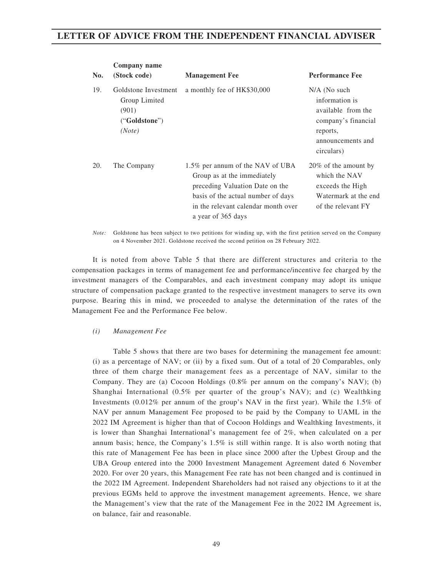|     | Company name                                                              |                                                                                                                                                                                                       |                                                                                                                              |
|-----|---------------------------------------------------------------------------|-------------------------------------------------------------------------------------------------------------------------------------------------------------------------------------------------------|------------------------------------------------------------------------------------------------------------------------------|
| No. | (Stock code)                                                              | <b>Management Fee</b>                                                                                                                                                                                 | <b>Performance Fee</b>                                                                                                       |
| 19. | Goldstone Investment<br>Group Limited<br>(901)<br>("Goldstone")<br>(Note) | a monthly fee of HK\$30,000                                                                                                                                                                           | $N/A$ (No such<br>information is<br>available from the<br>company's financial<br>reports,<br>announcements and<br>circulars) |
| 20. | The Company                                                               | 1.5% per annum of the NAV of UBA<br>Group as at the immediately<br>preceding Valuation Date on the<br>basis of the actual number of days<br>in the relevant calendar month over<br>a year of 365 days | 20% of the amount by<br>which the NAV<br>exceeds the High<br>Watermark at the end<br>of the relevant FY                      |

*Note:* Goldstone has been subject to two petitions for winding up, with the first petition served on the Company on 4 November 2021. Goldstone received the second petition on 28 February 2022.

It is noted from above Table 5 that there are different structures and criteria to the compensation packages in terms of management fee and performance/incentive fee charged by the investment managers of the Comparables, and each investment company may adopt its unique structure of compensation package granted to the respective investment managers to serve its own purpose. Bearing this in mind, we proceeded to analyse the determination of the rates of the Management Fee and the Performance Fee below.

#### *(i) Management Fee*

Table 5 shows that there are two bases for determining the management fee amount: (i) as a percentage of NAV; or (ii) by a fixed sum. Out of a total of 20 Comparables, only three of them charge their management fees as a percentage of NAV, similar to the Company. They are (a) Cocoon Holdings (0.8% per annum on the company's NAV); (b) Shanghai International (0.5% per quarter of the group's NAV); and (c) Wealthking Investments (0.012% per annum of the group's NAV in the first year). While the 1.5% of NAV per annum Management Fee proposed to be paid by the Company to UAML in the 2022 IM Agreement is higher than that of Cocoon Holdings and Wealthking Investments, it is lower than Shanghai International's management fee of 2%, when calculated on a per annum basis; hence, the Company's 1.5% is still within range. It is also worth noting that this rate of Management Fee has been in place since 2000 after the Upbest Group and the UBA Group entered into the 2000 Investment Management Agreement dated 6 November 2020. For over 20 years, this Management Fee rate has not been changed and is continued in the 2022 IM Agreement. Independent Shareholders had not raised any objections to it at the previous EGMs held to approve the investment management agreements. Hence, we share the Management's view that the rate of the Management Fee in the 2022 IM Agreement is, on balance, fair and reasonable.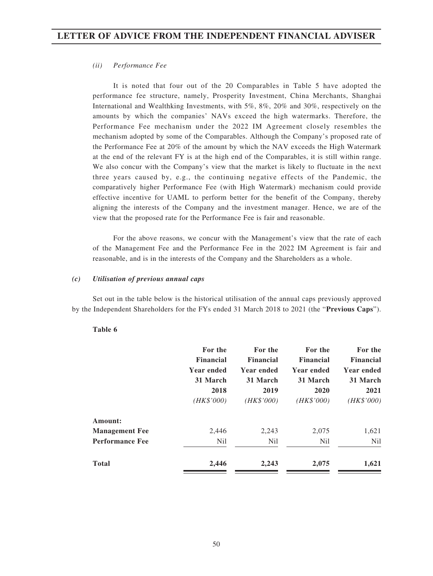#### *(ii) Performance Fee*

It is noted that four out of the 20 Comparables in Table 5 have adopted the performance fee structure, namely, Prosperity Investment, China Merchants, Shanghai International and Wealthking Investments, with 5%, 8%, 20% and 30%, respectively on the amounts by which the companies' NAVs exceed the high watermarks. Therefore, the Performance Fee mechanism under the 2022 IM Agreement closely resembles the mechanism adopted by some of the Comparables. Although the Company's proposed rate of the Performance Fee at 20% of the amount by which the NAV exceeds the High Watermark at the end of the relevant FY is at the high end of the Comparables, it is still within range. We also concur with the Company's view that the market is likely to fluctuate in the next three years caused by, e.g., the continuing negative effects of the Pandemic, the comparatively higher Performance Fee (with High Watermark) mechanism could provide effective incentive for UAML to perform better for the benefit of the Company, thereby aligning the interests of the Company and the investment manager. Hence, we are of the view that the proposed rate for the Performance Fee is fair and reasonable.

For the above reasons, we concur with the Management's view that the rate of each of the Management Fee and the Performance Fee in the 2022 IM Agreement is fair and reasonable, and is in the interests of the Company and the Shareholders as a whole.

#### *(c) Utilisation of previous annual caps*

Set out in the table below is the historical utilisation of the annual caps previously approved by the Independent Shareholders for the FYs ended 31 March 2018 to 2021 (the "**Previous Caps**").

| For the           | For the           | For the          | For the           |
|-------------------|-------------------|------------------|-------------------|
| <b>Financial</b>  | <b>Financial</b>  | <b>Financial</b> | <b>Financial</b>  |
| <b>Year ended</b> | <b>Year ended</b> | Year ended       | <b>Year ended</b> |
| 31 March          | 31 March          | 31 March         | 31 March          |
| 2018              | 2019              | 2020             | 2021              |
| (HK\$'000)        | (HK\$'000)        | (HK\$'000)       | (HK\$'000)        |
|                   |                   |                  |                   |
| 2,446             | 2,243             | 2,075            | 1,621             |
| N <sub>il</sub>   | N <sub>il</sub>   | N <sub>il</sub>  | Nil               |
| 2,446             | 2,243             | 2,075            | 1,621             |
|                   |                   |                  |                   |

#### **Table 6**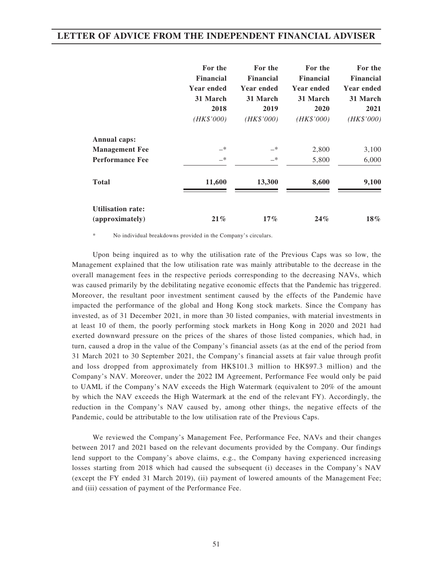|                                             | For the<br><b>Financial</b><br><b>Year ended</b><br>31 March<br>2018<br>(HK\$'000) | For the<br><b>Financial</b><br><b>Year ended</b><br>31 March<br>2019<br>(HK\$'000) | For the<br><b>Financial</b><br><b>Year ended</b><br>31 March<br>2020<br>(HK\$'000) | For the<br><b>Financial</b><br>Year ended<br>31 March<br>2021<br>(HK\$'000) |
|---------------------------------------------|------------------------------------------------------------------------------------|------------------------------------------------------------------------------------|------------------------------------------------------------------------------------|-----------------------------------------------------------------------------|
| Annual caps:                                |                                                                                    |                                                                                    |                                                                                    |                                                                             |
| <b>Management Fee</b>                       | $-*$                                                                               | $-*$                                                                               | 2,800                                                                              | 3,100                                                                       |
| <b>Performance Fee</b>                      | $-*$                                                                               | $-*$                                                                               | 5,800                                                                              | 6,000                                                                       |
| <b>Total</b>                                | 11,600                                                                             | 13,300                                                                             | 8,600                                                                              | 9,100                                                                       |
| <b>Utilisation rate:</b><br>(approximately) | $21\%$                                                                             | $17\%$                                                                             | 24%                                                                                | $18\%$                                                                      |

No individual breakdowns provided in the Company's circulars.

Upon being inquired as to why the utilisation rate of the Previous Caps was so low, the Management explained that the low utilisation rate was mainly attributable to the decrease in the overall management fees in the respective periods corresponding to the decreasing NAVs, which was caused primarily by the debilitating negative economic effects that the Pandemic has triggered. Moreover, the resultant poor investment sentiment caused by the effects of the Pandemic have impacted the performance of the global and Hong Kong stock markets. Since the Company has invested, as of 31 December 2021, in more than 30 listed companies, with material investments in at least 10 of them, the poorly performing stock markets in Hong Kong in 2020 and 2021 had exerted downward pressure on the prices of the shares of those listed companies, which had, in turn, caused a drop in the value of the Company's financial assets (as at the end of the period from 31 March 2021 to 30 September 2021, the Company's financial assets at fair value through profit and loss dropped from approximately from HK\$101.3 million to HK\$97.3 million) and the Company's NAV. Moreover, under the 2022 IM Agreement, Performance Fee would only be paid to UAML if the Company's NAV exceeds the High Watermark (equivalent to 20% of the amount by which the NAV exceeds the High Watermark at the end of the relevant FY). Accordingly, the reduction in the Company's NAV caused by, among other things, the negative effects of the Pandemic, could be attributable to the low utilisation rate of the Previous Caps.

We reviewed the Company's Management Fee, Performance Fee, NAVs and their changes between 2017 and 2021 based on the relevant documents provided by the Company. Our findings lend support to the Company's above claims, e.g., the Company having experienced increasing losses starting from 2018 which had caused the subsequent (i) deceases in the Company's NAV (except the FY ended 31 March 2019), (ii) payment of lowered amounts of the Management Fee; and (iii) cessation of payment of the Performance Fee.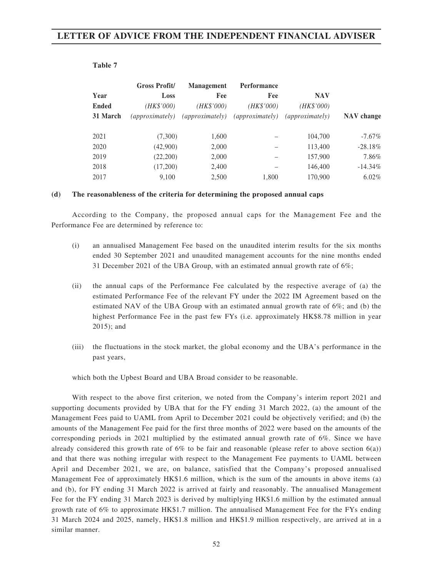| ۰.<br>- 1<br>×<br>۰.<br>۰.<br>٠ |  |
|---------------------------------|--|
|---------------------------------|--|

|              | <b>Gross Profit/</b>   | <b>Management</b>      | <b>Performance</b>     |                        |            |
|--------------|------------------------|------------------------|------------------------|------------------------|------------|
| Year         | Loss                   | Fee                    | Fee                    | <b>NAV</b>             |            |
| <b>Ended</b> | (HK\$'000)             | (HK\$'000)             | (HK\$'000)             | (HK\$'000)             |            |
| 31 March     | <i>(approximately)</i> | <i>(approximately)</i> | <i>(approximately)</i> | <i>(approximately)</i> | NAV change |
|              |                        |                        |                        |                        |            |
| 2021         | (7,300)                | 1,600                  |                        | 104,700                | $-7.67\%$  |
| 2020         | (42,900)               | 2,000                  |                        | 113,400                | $-28.18%$  |
| 2019         | (22,200)               | 2,000                  |                        | 157,900                | 7.86%      |
| 2018         | (17,200)               | 2,400                  |                        | 146,400                | $-14.34%$  |
| 2017         | 9.100                  | 2.500                  | 1.800                  | 170,900                | $6.02\%$   |

#### **(d) The reasonableness of the criteria for determining the proposed annual caps**

According to the Company, the proposed annual caps for the Management Fee and the Performance Fee are determined by reference to:

- (i) an annualised Management Fee based on the unaudited interim results for the six months ended 30 September 2021 and unaudited management accounts for the nine months ended 31 December 2021 of the UBA Group, with an estimated annual growth rate of 6%;
- (ii) the annual caps of the Performance Fee calculated by the respective average of (a) the estimated Performance Fee of the relevant FY under the 2022 IM Agreement based on the estimated NAV of the UBA Group with an estimated annual growth rate of  $6\%$ ; and (b) the highest Performance Fee in the past few FYs (i.e. approximately HK\$8.78 million in year 2015); and
- (iii) the fluctuations in the stock market, the global economy and the UBA's performance in the past years,

which both the Upbest Board and UBA Broad consider to be reasonable.

With respect to the above first criterion, we noted from the Company's interim report 2021 and supporting documents provided by UBA that for the FY ending 31 March 2022, (a) the amount of the Management Fees paid to UAML from April to December 2021 could be objectively verified; and (b) the amounts of the Management Fee paid for the first three months of 2022 were based on the amounts of the corresponding periods in 2021 multiplied by the estimated annual growth rate of 6%. Since we have already considered this growth rate of  $6\%$  to be fair and reasonable (please refer to above section  $6(a)$ ) and that there was nothing irregular with respect to the Management Fee payments to UAML between April and December 2021, we are, on balance, satisfied that the Company's proposed annualised Management Fee of approximately HK\$1.6 million, which is the sum of the amounts in above items (a) and (b), for FY ending 31 March 2022 is arrived at fairly and reasonably. The annualised Management Fee for the FY ending 31 March 2023 is derived by multiplying HK\$1.6 million by the estimated annual growth rate of 6% to approximate HK\$1.7 million. The annualised Management Fee for the FYs ending 31 March 2024 and 2025, namely, HK\$1.8 million and HK\$1.9 million respectively, are arrived at in a similar manner.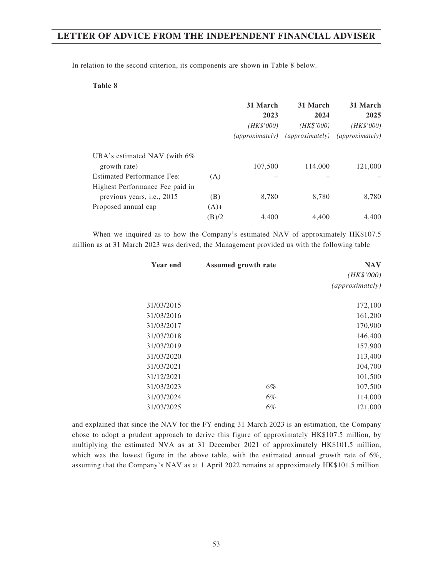In relation to the second criterion, its components are shown in Table 8 below.

#### **Table 8**

|                                                                      |               | 31 March<br>2023<br>(HK\$'000)<br><i>(approximately)</i> | 31 March<br>2024<br>(HK\$'000)<br><i>(approximately)</i> | 31 March<br>2025<br>( <i>HK\$'000</i> )<br>$\langle approximately\rangle$ |
|----------------------------------------------------------------------|---------------|----------------------------------------------------------|----------------------------------------------------------|---------------------------------------------------------------------------|
| UBA's estimated NAV (with $6\%$ )<br>growth rate)                    |               | 107,500                                                  | 114,000                                                  | 121,000                                                                   |
| <b>Estimated Performance Fee:</b><br>Highest Performance Fee paid in | (A)           |                                                          |                                                          |                                                                           |
| previous years, <i>i.e.</i> , 2015<br>Proposed annual cap            | (B)<br>$(A)+$ | 8,780                                                    | 8,780                                                    | 8,780                                                                     |
|                                                                      | (B)/2         | 4.400                                                    | 4.400                                                    | 4.400                                                                     |

When we inquired as to how the Company's estimated NAV of approximately HK\$107.5 million as at 31 March 2023 was derived, the Management provided us with the following table

| Year end   | <b>Assumed growth rate</b> | <b>NAV</b>      |
|------------|----------------------------|-----------------|
|            |                            | (HK\$'000)      |
|            |                            | (approximately) |
| 31/03/2015 |                            | 172,100         |
| 31/03/2016 |                            | 161,200         |
| 31/03/2017 |                            | 170,900         |
| 31/03/2018 |                            | 146,400         |
| 31/03/2019 |                            | 157,900         |
| 31/03/2020 |                            | 113,400         |
| 31/03/2021 |                            | 104,700         |
| 31/12/2021 |                            | 101,500         |
| 31/03/2023 | $6\%$                      | 107,500         |
| 31/03/2024 | $6\%$                      | 114,000         |
| 31/03/2025 | 6%                         | 121,000         |

and explained that since the NAV for the FY ending 31 March 2023 is an estimation, the Company chose to adopt a prudent approach to derive this figure of approximately HK\$107.5 million, by multiplying the estimated NVA as at 31 December 2021 of approximately HK\$101.5 million, which was the lowest figure in the above table, with the estimated annual growth rate of  $6\%$ , assuming that the Company's NAV as at 1 April 2022 remains at approximately HK\$101.5 million.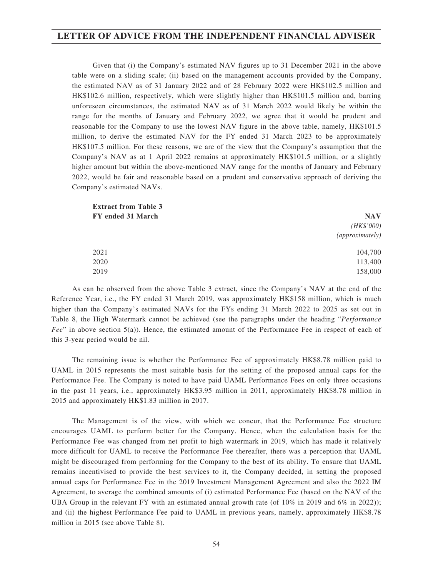Given that (i) the Company's estimated NAV figures up to 31 December 2021 in the above table were on a sliding scale; (ii) based on the management accounts provided by the Company, the estimated NAV as of 31 January 2022 and of 28 February 2022 were HK\$102.5 million and HK\$102.6 million, respectively, which were slightly higher than HK\$101.5 million and, barring unforeseen circumstances, the estimated NAV as of 31 March 2022 would likely be within the range for the months of January and February 2022, we agree that it would be prudent and reasonable for the Company to use the lowest NAV figure in the above table, namely, HK\$101.5 million, to derive the estimated NAV for the FY ended 31 March 2023 to be approximately HK\$107.5 million. For these reasons, we are of the view that the Company's assumption that the Company's NAV as at 1 April 2022 remains at approximately HK\$101.5 million, or a slightly higher amount but within the above-mentioned NAV range for the months of January and February 2022, would be fair and reasonable based on a prudent and conservative approach of deriving the Company's estimated NAVs.

| <b>Extract from Table 3</b> |                        |  |
|-----------------------------|------------------------|--|
| FY ended 31 March           | <b>NAV</b>             |  |
|                             | (HK\$'000)             |  |
|                             | <i>(approximately)</i> |  |
| 2021                        | 104,700                |  |
| 2020                        | 113,400                |  |
| 2019                        | 158,000                |  |

As can be observed from the above Table 3 extract, since the Company's NAV at the end of the Reference Year, i.e., the FY ended 31 March 2019, was approximately HK\$158 million, which is much higher than the Company's estimated NAVs for the FYs ending 31 March 2022 to 2025 as set out in Table 8, the High Watermark cannot be achieved (see the paragraphs under the heading "*Performance Fee*" in above section 5(a)). Hence, the estimated amount of the Performance Fee in respect of each of this 3-year period would be nil.

The remaining issue is whether the Performance Fee of approximately HK\$8.78 million paid to UAML in 2015 represents the most suitable basis for the setting of the proposed annual caps for the Performance Fee. The Company is noted to have paid UAML Performance Fees on only three occasions in the past 11 years, i.e., approximately HK\$3.95 million in 2011, approximately HK\$8.78 million in 2015 and approximately HK\$1.83 million in 2017.

The Management is of the view, with which we concur, that the Performance Fee structure encourages UAML to perform better for the Company. Hence, when the calculation basis for the Performance Fee was changed from net profit to high watermark in 2019, which has made it relatively more difficult for UAML to receive the Performance Fee thereafter, there was a perception that UAML might be discouraged from performing for the Company to the best of its ability. To ensure that UAML remains incentivised to provide the best services to it, the Company decided, in setting the proposed annual caps for Performance Fee in the 2019 Investment Management Agreement and also the 2022 IM Agreement, to average the combined amounts of (i) estimated Performance Fee (based on the NAV of the UBA Group in the relevant FY with an estimated annual growth rate (of 10% in 2019 and 6% in 2022)); and (ii) the highest Performance Fee paid to UAML in previous years, namely, approximately HK\$8.78 million in 2015 (see above Table 8).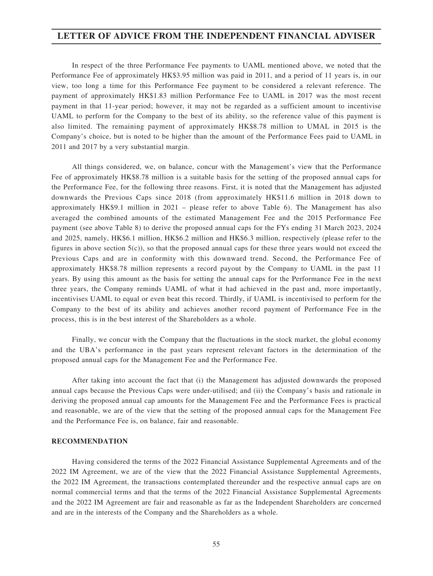In respect of the three Performance Fee payments to UAML mentioned above, we noted that the Performance Fee of approximately HK\$3.95 million was paid in 2011, and a period of 11 years is, in our view, too long a time for this Performance Fee payment to be considered a relevant reference. The payment of approximately HK\$1.83 million Performance Fee to UAML in 2017 was the most recent payment in that 11-year period; however, it may not be regarded as a sufficient amount to incentivise UAML to perform for the Company to the best of its ability, so the reference value of this payment is also limited. The remaining payment of approximately HK\$8.78 million to UMAL in 2015 is the Company's choice, but is noted to be higher than the amount of the Performance Fees paid to UAML in 2011 and 2017 by a very substantial margin.

All things considered, we, on balance, concur with the Management's view that the Performance Fee of approximately HK\$8.78 million is a suitable basis for the setting of the proposed annual caps for the Performance Fee, for the following three reasons. First, it is noted that the Management has adjusted downwards the Previous Caps since 2018 (from approximately HK\$11.6 million in 2018 down to approximately HK\$9.1 million in 2021 – please refer to above Table 6). The Management has also averaged the combined amounts of the estimated Management Fee and the 2015 Performance Fee payment (see above Table 8) to derive the proposed annual caps for the FYs ending 31 March 2023, 2024 and 2025, namely, HK\$6.1 million, HK\$6.2 million and HK\$6.3 million, respectively (please refer to the figures in above section 5(c)), so that the proposed annual caps for these three years would not exceed the Previous Caps and are in conformity with this downward trend. Second, the Performance Fee of approximately HK\$8.78 million represents a record payout by the Company to UAML in the past 11 years. By using this amount as the basis for setting the annual caps for the Performance Fee in the next three years, the Company reminds UAML of what it had achieved in the past and, more importantly, incentivises UAML to equal or even beat this record. Thirdly, if UAML is incentivised to perform for the Company to the best of its ability and achieves another record payment of Performance Fee in the process, this is in the best interest of the Shareholders as a whole.

Finally, we concur with the Company that the fluctuations in the stock market, the global economy and the UBA's performance in the past years represent relevant factors in the determination of the proposed annual caps for the Management Fee and the Performance Fee.

After taking into account the fact that (i) the Management has adjusted downwards the proposed annual caps because the Previous Caps were under-utilised; and (ii) the Company's basis and rationale in deriving the proposed annual cap amounts for the Management Fee and the Performance Fees is practical and reasonable, we are of the view that the setting of the proposed annual caps for the Management Fee and the Performance Fee is, on balance, fair and reasonable.

#### **RECOMMENDATION**

Having considered the terms of the 2022 Financial Assistance Supplemental Agreements and of the 2022 IM Agreement, we are of the view that the 2022 Financial Assistance Supplemental Agreements, the 2022 IM Agreement, the transactions contemplated thereunder and the respective annual caps are on normal commercial terms and that the terms of the 2022 Financial Assistance Supplemental Agreements and the 2022 IM Agreement are fair and reasonable as far as the Independent Shareholders are concerned and are in the interests of the Company and the Shareholders as a whole.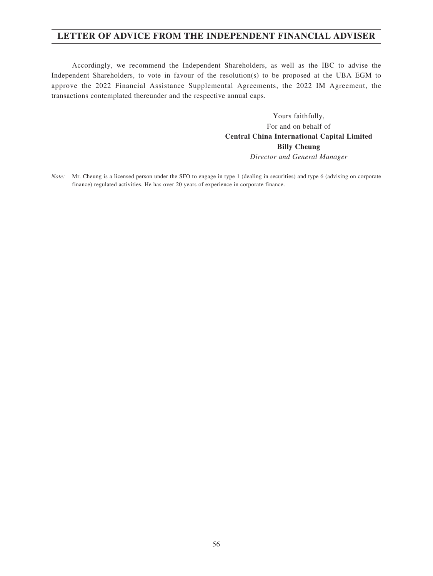Accordingly, we recommend the Independent Shareholders, as well as the IBC to advise the Independent Shareholders, to vote in favour of the resolution(s) to be proposed at the UBA EGM to approve the 2022 Financial Assistance Supplemental Agreements, the 2022 IM Agreement, the transactions contemplated thereunder and the respective annual caps.

> Yours faithfully, For and on behalf of **Central China International Capital Limited Billy Cheung** *Director and General Manager*

*Note:* Mr. Cheung is a licensed person under the SFO to engage in type 1 (dealing in securities) and type 6 (advising on corporate finance) regulated activities. He has over 20 years of experience in corporate finance.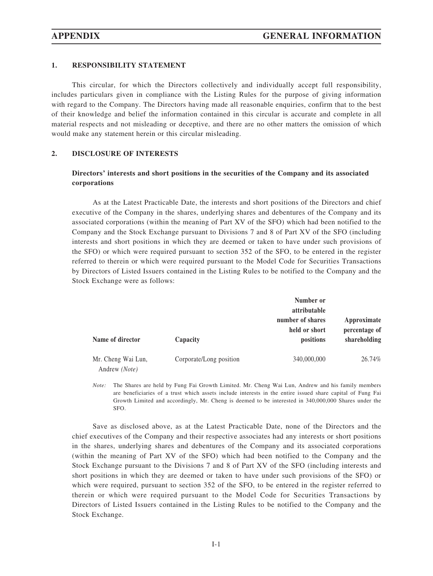#### **1. RESPONSIBILITY STATEMENT**

This circular, for which the Directors collectively and individually accept full responsibility, includes particulars given in compliance with the Listing Rules for the purpose of giving information with regard to the Company. The Directors having made all reasonable enquiries, confirm that to the best of their knowledge and belief the information contained in this circular is accurate and complete in all material respects and not misleading or deceptive, and there are no other matters the omission of which would make any statement herein or this circular misleading.

#### **2. DISCLOSURE OF INTERESTS**

### **Directors' interests and short positions in the securities of the Company and its associated corporations**

As at the Latest Practicable Date, the interests and short positions of the Directors and chief executive of the Company in the shares, underlying shares and debentures of the Company and its associated corporations (within the meaning of Part XV of the SFO) which had been notified to the Company and the Stock Exchange pursuant to Divisions 7 and 8 of Part XV of the SFO (including interests and short positions in which they are deemed or taken to have under such provisions of the SFO) or which were required pursuant to section 352 of the SFO, to be entered in the register referred to therein or which were required pursuant to the Model Code for Securities Transactions by Directors of Listed Issuers contained in the Listing Rules to be notified to the Company and the Stock Exchange were as follows:

|                                     |                         | Number or<br>attributable<br>number of shares<br>held or short | Approximate<br>percentage of |
|-------------------------------------|-------------------------|----------------------------------------------------------------|------------------------------|
| Name of director                    | Capacity                | positions                                                      | shareholding                 |
| Mr. Cheng Wai Lun,<br>Andrew (Note) | Corporate/Long position | 340,000,000                                                    | 26.74%                       |

*Note:* The Shares are held by Fung Fai Growth Limited. Mr. Cheng Wai Lun, Andrew and his family members are beneficiaries of a trust which assets include interests in the entire issued share capital of Fung Fai Growth Limited and accordingly, Mr. Cheng is deemed to be interested in 340,000,000 Shares under the SFO.

Save as disclosed above, as at the Latest Practicable Date, none of the Directors and the chief executives of the Company and their respective associates had any interests or short positions in the shares, underlying shares and debentures of the Company and its associated corporations (within the meaning of Part XV of the SFO) which had been notified to the Company and the Stock Exchange pursuant to the Divisions 7 and 8 of Part XV of the SFO (including interests and short positions in which they are deemed or taken to have under such provisions of the SFO) or which were required, pursuant to section 352 of the SFO, to be entered in the register referred to therein or which were required pursuant to the Model Code for Securities Transactions by Directors of Listed Issuers contained in the Listing Rules to be notified to the Company and the Stock Exchange.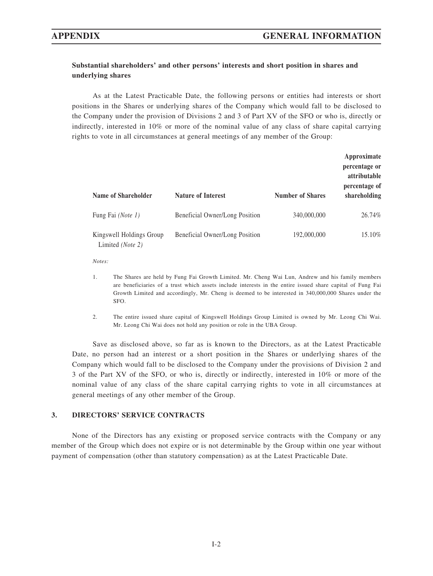## **Substantial shareholders' and other persons' interests and short position in shares and underlying shares**

As at the Latest Practicable Date, the following persons or entities had interests or short positions in the Shares or underlying shares of the Company which would fall to be disclosed to the Company under the provision of Divisions 2 and 3 of Part XV of the SFO or who is, directly or indirectly, interested in 10% or more of the nominal value of any class of share capital carrying rights to vote in all circumstances at general meetings of any member of the Group:

| Name of Shareholder                          | <b>Nature of Interest</b>      | <b>Number of Shares</b> | Approximate<br>percentage or<br>attributable<br>percentage of<br>shareholding |
|----------------------------------------------|--------------------------------|-------------------------|-------------------------------------------------------------------------------|
| Fung Fai (Note 1)                            | Beneficial Owner/Long Position | 340,000,000             | 26.74%                                                                        |
| Kingswell Holdings Group<br>Limited (Note 2) | Beneficial Owner/Long Position | 192,000,000             | 15.10%                                                                        |

*Notes:*

- 1. The Shares are held by Fung Fai Growth Limited. Mr. Cheng Wai Lun, Andrew and his family members are beneficiaries of a trust which assets include interests in the entire issued share capital of Fung Fai Growth Limited and accordingly, Mr. Cheng is deemed to be interested in 340,000,000 Shares under the SFO.
- 2. The entire issued share capital of Kingswell Holdings Group Limited is owned by Mr. Leong Chi Wai. Mr. Leong Chi Wai does not hold any position or role in the UBA Group.

Save as disclosed above, so far as is known to the Directors, as at the Latest Practicable Date, no person had an interest or a short position in the Shares or underlying shares of the Company which would fall to be disclosed to the Company under the provisions of Division 2 and 3 of the Part XV of the SFO, or who is, directly or indirectly, interested in 10% or more of the nominal value of any class of the share capital carrying rights to vote in all circumstances at general meetings of any other member of the Group.

#### **3. DIRECTORS' SERVICE CONTRACTS**

None of the Directors has any existing or proposed service contracts with the Company or any member of the Group which does not expire or is not determinable by the Group within one year without payment of compensation (other than statutory compensation) as at the Latest Practicable Date.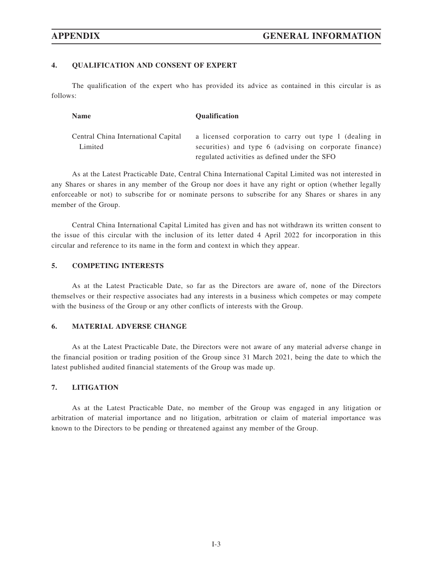#### **4. QUALIFICATION AND CONSENT OF EXPERT**

The qualification of the expert who has provided its advice as contained in this circular is as follows:

| <b>Name</b>                         | <b>Qualification</b>                                                                                    |
|-------------------------------------|---------------------------------------------------------------------------------------------------------|
| Central China International Capital | a licensed corporation to carry out type 1 (dealing in                                                  |
| Limited                             | securities) and type 6 (advising on corporate finance)<br>regulated activities as defined under the SFO |

As at the Latest Practicable Date, Central China International Capital Limited was not interested in any Shares or shares in any member of the Group nor does it have any right or option (whether legally enforceable or not) to subscribe for or nominate persons to subscribe for any Shares or shares in any member of the Group.

Central China International Capital Limited has given and has not withdrawn its written consent to the issue of this circular with the inclusion of its letter dated 4 April 2022 for incorporation in this circular and reference to its name in the form and context in which they appear.

### **5. COMPETING INTERESTS**

As at the Latest Practicable Date, so far as the Directors are aware of, none of the Directors themselves or their respective associates had any interests in a business which competes or may compete with the business of the Group or any other conflicts of interests with the Group.

#### **6. MATERIAL ADVERSE CHANGE**

As at the Latest Practicable Date, the Directors were not aware of any material adverse change in the financial position or trading position of the Group since 31 March 2021, being the date to which the latest published audited financial statements of the Group was made up.

#### **7. LITIGATION**

As at the Latest Practicable Date, no member of the Group was engaged in any litigation or arbitration of material importance and no litigation, arbitration or claim of material importance was known to the Directors to be pending or threatened against any member of the Group.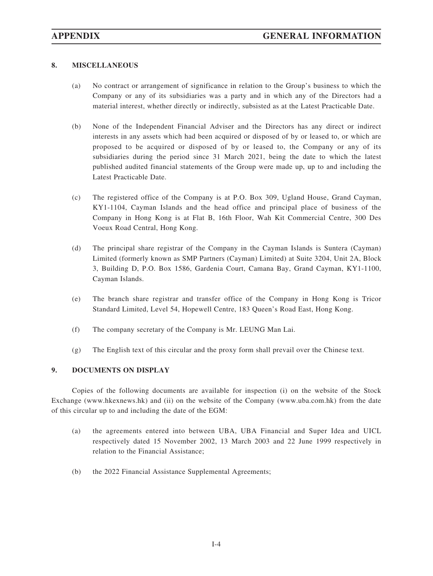### **8. MISCELLANEOUS**

- (a) No contract or arrangement of significance in relation to the Group's business to which the Company or any of its subsidiaries was a party and in which any of the Directors had a material interest, whether directly or indirectly, subsisted as at the Latest Practicable Date.
- (b) None of the Independent Financial Adviser and the Directors has any direct or indirect interests in any assets which had been acquired or disposed of by or leased to, or which are proposed to be acquired or disposed of by or leased to, the Company or any of its subsidiaries during the period since 31 March 2021, being the date to which the latest published audited financial statements of the Group were made up, up to and including the Latest Practicable Date.
- (c) The registered office of the Company is at P.O. Box 309, Ugland House, Grand Cayman, KY1-1104, Cayman Islands and the head office and principal place of business of the Company in Hong Kong is at Flat B, 16th Floor, Wah Kit Commercial Centre, 300 Des Voeux Road Central, Hong Kong.
- (d) The principal share registrar of the Company in the Cayman Islands is Suntera (Cayman) Limited (formerly known as SMP Partners (Cayman) Limited) at Suite 3204, Unit 2A, Block 3, Building D, P.O. Box 1586, Gardenia Court, Camana Bay, Grand Cayman, KY1-1100, Cayman Islands.
- (e) The branch share registrar and transfer office of the Company in Hong Kong is Tricor Standard Limited, Level 54, Hopewell Centre, 183 Queen's Road East, Hong Kong.
- (f) The company secretary of the Company is Mr. LEUNG Man Lai.
- (g) The English text of this circular and the proxy form shall prevail over the Chinese text.

#### **9. DOCUMENTS ON DISPLAY**

Copies of the following documents are available for inspection (i) on the website of the Stock Exchange (www.hkexnews.hk) and (ii) on the website of the Company (www.uba.com.hk) from the date of this circular up to and including the date of the EGM:

- (a) the agreements entered into between UBA, UBA Financial and Super Idea and UICL respectively dated 15 November 2002, 13 March 2003 and 22 June 1999 respectively in relation to the Financial Assistance;
- (b) the 2022 Financial Assistance Supplemental Agreements;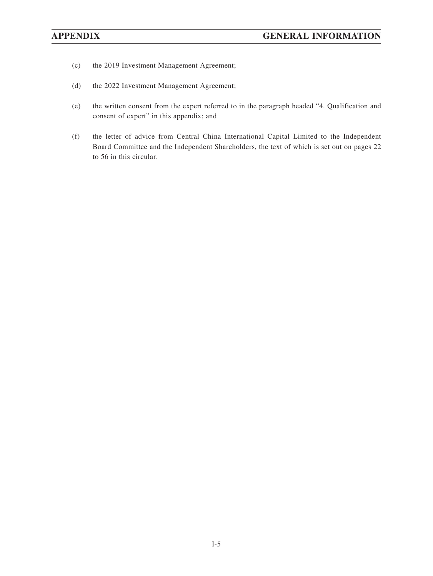- (c) the 2019 Investment Management Agreement;
- (d) the 2022 Investment Management Agreement;
- (e) the written consent from the expert referred to in the paragraph headed "4. Qualification and consent of expert" in this appendix; and
- (f) the letter of advice from Central China International Capital Limited to the Independent Board Committee and the Independent Shareholders, the text of which is set out on pages 22 to 56 in this circular.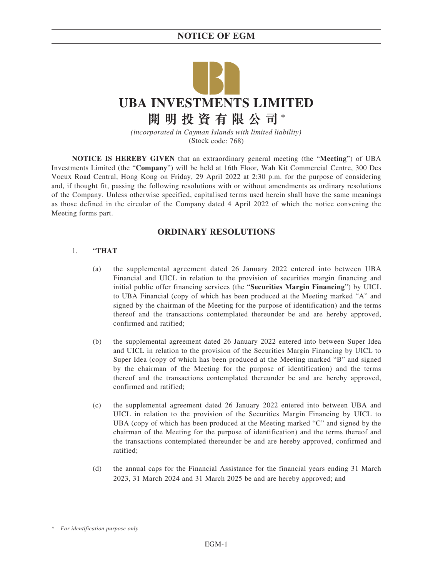# **NOTICE OF EGM**



*(incorporated in Cayman Islands with limited liability)* (Stock code: 768)

**NOTICE IS HEREBY GIVEN** that an extraordinary general meeting (the "**Meeting**") of UBA Investments Limited (the "**Company**") will be held at 16th Floor, Wah Kit Commercial Centre, 300 Des Voeux Road Central, Hong Kong on Friday, 29 April 2022 at 2:30 p.m. for the purpose of considering and, if thought fit, passing the following resolutions with or without amendments as ordinary resolutions of the Company. Unless otherwise specified, capitalised terms used herein shall have the same meanings as those defined in the circular of the Company dated 4 April 2022 of which the notice convening the Meeting forms part.

### **ORDINARY RESOLUTIONS**

#### 1. "**THAT**

- (a) the supplemental agreement dated 26 January 2022 entered into between UBA Financial and UICL in relation to the provision of securities margin financing and initial public offer financing services (the "**Securities Margin Financing**") by UICL to UBA Financial (copy of which has been produced at the Meeting marked "A" and signed by the chairman of the Meeting for the purpose of identification) and the terms thereof and the transactions contemplated thereunder be and are hereby approved, confirmed and ratified;
- (b) the supplemental agreement dated 26 January 2022 entered into between Super Idea and UICL in relation to the provision of the Securities Margin Financing by UICL to Super Idea (copy of which has been produced at the Meeting marked "B" and signed by the chairman of the Meeting for the purpose of identification) and the terms thereof and the transactions contemplated thereunder be and are hereby approved, confirmed and ratified;
- (c) the supplemental agreement dated 26 January 2022 entered into between UBA and UICL in relation to the provision of the Securities Margin Financing by UICL to UBA (copy of which has been produced at the Meeting marked "C" and signed by the chairman of the Meeting for the purpose of identification) and the terms thereof and the transactions contemplated thereunder be and are hereby approved, confirmed and ratified;
- (d) the annual caps for the Financial Assistance for the financial years ending 31 March 2023, 31 March 2024 and 31 March 2025 be and are hereby approved; and

<sup>\*</sup> *For identification purpose only*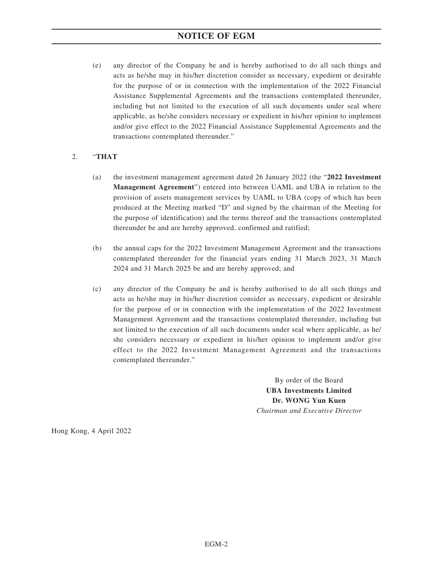# **NOTICE OF EGM**

(e) any director of the Company be and is hereby authorised to do all such things and acts as he/she may in his/her discretion consider as necessary, expedient or desirable for the purpose of or in connection with the implementation of the 2022 Financial Assistance Supplemental Agreements and the transactions contemplated thereunder, including but not limited to the execution of all such documents under seal where applicable, as he/she considers necessary or expedient in his/her opinion to implement and/or give effect to the 2022 Financial Assistance Supplemental Agreements and the transactions contemplated thereunder."

### 2. "**THAT**

- (a) the investment management agreement dated 26 January 2022 (the "**2022 Investment Management Agreement**") entered into between UAML and UBA in relation to the provision of assets management services by UAML to UBA (copy of which has been produced at the Meeting marked "D" and signed by the chairman of the Meeting for the purpose of identification) and the terms thereof and the transactions contemplated thereunder be and are hereby approved, confirmed and ratified;
- (b) the annual caps for the 2022 Investment Management Agreement and the transactions contemplated thereunder for the financial years ending 31 March 2023, 31 March 2024 and 31 March 2025 be and are hereby approved; and
- (c) any director of the Company be and is hereby authorised to do all such things and acts as he/she may in his/her discretion consider as necessary, expedient or desirable for the purpose of or in connection with the implementation of the 2022 Investment Management Agreement and the transactions contemplated thereunder, including but not limited to the execution of all such documents under seal where applicable, as he/ she considers necessary or expedient in his/her opinion to implement and/or give effect to the 2022 Investment Management Agreement and the transactions contemplated thereunder."

By order of the Board **UBA Investments Limited Dr. WONG Yun Kuen** *Chairman and Executive Director*

Hong Kong, 4 April 2022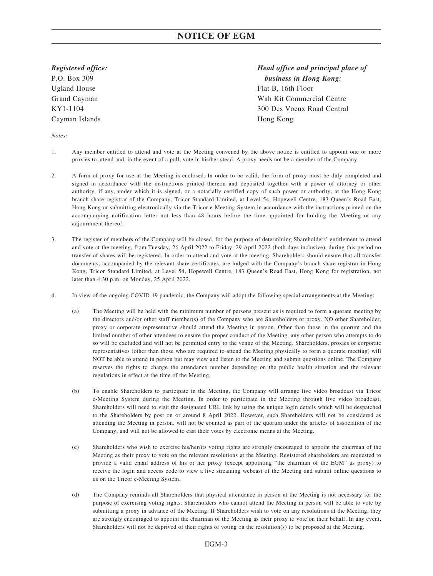*Registered office:*

P.O. Box 309 Ugland House Grand Cayman KY1-1104 Cayman Islands

# *Head office and principal place of business in Hong Kong:* Flat B, 16th Floor Wah Kit Commercial Centre 300 Des Voeux Road Central Hong Kong

*Notes:*

- 1. Any member entitled to attend and vote at the Meeting convened by the above notice is entitled to appoint one or more proxies to attend and, in the event of a poll, vote in his/her stead. A proxy needs not be a member of the Company.
- 2. A form of proxy for use at the Meeting is enclosed. In order to be valid, the form of proxy must be duly completed and signed in accordance with the instructions printed thereon and deposited together with a power of attorney or other authority, if any, under which it is signed, or a notarially certified copy of such power or authority, at the Hong Kong branch share registrar of the Company, Tricor Standard Limited, at Level 54, Hopewell Centre, 183 Queen's Road East, Hong Kong or submitting electronically via the Tricor e-Meeting System in accordance with the instructions printed on the accompanying notification letter not less than 48 hours before the time appointed for holding the Meeting or any adjournment thereof.
- 3. The register of members of the Company will be closed, for the purpose of determining Shareholders' entitlement to attend and vote at the meeting, from Tuesday, 26 April 2022 to Friday, 29 April 2022 (both days inclusive), during this period no transfer of shares will be registered. In order to attend and vote at the meeting, Shareholders should ensure that all transfer documents, accompanied by the relevant share certificates, are lodged with the Company's branch share registrar in Hong Kong, Tricor Standard Limited, at Level 54, Hopewell Centre, 183 Queen's Road East, Hong Kong for registration, not later than 4:30 p.m. on Monday, 25 April 2022.
- 4. In view of the ongoing COVID-19 pandemic, the Company will adopt the following special arrangements at the Meeting:
	- (a) The Meeting will be held with the minimum number of persons present as is required to form a quorate meeting by the directors and/or other staff member(s) of the Company who are Shareholders or proxy. NO other Shareholder, proxy or corporate representative should attend the Meeting in person. Other than those in the quorum and the limited number of other attendees to ensure the proper conduct of the Meeting, any other person who attempts to do so will be excluded and will not be permitted entry to the venue of the Meeting. Shareholders, proxies or corporate representatives (other than those who are required to attend the Meeting physically to form a quorate meeting) will NOT be able to attend in person but may view and listen to the Meeting and submit questions online. The Company reserves the rights to change the attendance number depending on the public health situation and the relevant regulations in effect at the time of the Meeting.
	- (b) To enable Shareholders to participate in the Meeting, the Company will arrange live video broadcast via Tricor e-Meeting System during the Meeting. In order to participate in the Meeting through live video broadcast, Shareholders will need to visit the designated URL link by using the unique login details which will be despatched to the Shareholders by post on or around 8 April 2022. However, such Shareholders will not be considered as attending the Meeting in person, will not be counted as part of the quorum under the articles of association of the Company, and will not be allowed to cast their votes by electronic means at the Meeting.
	- (c) Shareholders who wish to exercise his/her/its voting rights are strongly encouraged to appoint the chairman of the Meeting as their proxy to vote on the relevant resolutions at the Meeting. Registered shareholders are requested to provide a valid email address of his or her proxy (except appointing "the chairman of the EGM" as proxy) to receive the login and access code to view a live streaming webcast of the Meeting and submit online questions to us on the Tricor e-Meeting System.
	- (d) The Company reminds all Shareholders that physical attendance in person at the Meeting is not necessary for the purpose of exercising voting rights. Shareholders who cannot attend the Meeting in person will be able to vote by submitting a proxy in advance of the Meeting. If Shareholders wish to vote on any resolutions at the Meeting, they are strongly encouraged to appoint the chairman of the Meeting as their proxy to vote on their behalf. In any event, Shareholders will not be deprived of their rights of voting on the resolution(s) to be proposed at the Meeting.